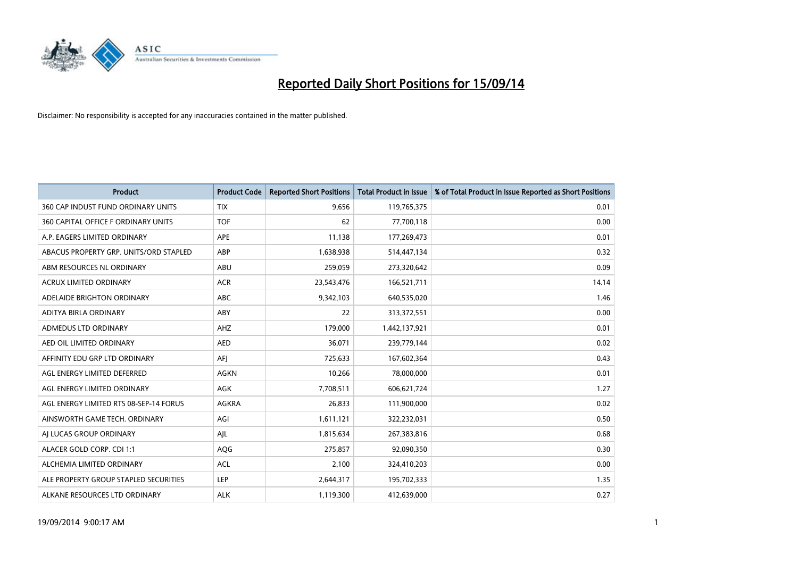

| <b>Product</b>                         | <b>Product Code</b> | <b>Reported Short Positions</b> | <b>Total Product in Issue</b> | % of Total Product in Issue Reported as Short Positions |
|----------------------------------------|---------------------|---------------------------------|-------------------------------|---------------------------------------------------------|
| 360 CAP INDUST FUND ORDINARY UNITS     | <b>TIX</b>          | 9,656                           | 119,765,375                   | 0.01                                                    |
| 360 CAPITAL OFFICE F ORDINARY UNITS    | <b>TOF</b>          | 62                              | 77,700,118                    | 0.00                                                    |
| A.P. EAGERS LIMITED ORDINARY           | APE                 | 11,138                          | 177,269,473                   | 0.01                                                    |
| ABACUS PROPERTY GRP. UNITS/ORD STAPLED | ABP                 | 1,638,938                       | 514,447,134                   | 0.32                                                    |
| ABM RESOURCES NL ORDINARY              | ABU                 | 259,059                         | 273,320,642                   | 0.09                                                    |
| <b>ACRUX LIMITED ORDINARY</b>          | <b>ACR</b>          | 23,543,476                      | 166,521,711                   | 14.14                                                   |
| ADELAIDE BRIGHTON ORDINARY             | <b>ABC</b>          | 9,342,103                       | 640,535,020                   | 1.46                                                    |
| ADITYA BIRLA ORDINARY                  | ABY                 | 22                              | 313,372,551                   | 0.00                                                    |
| ADMEDUS LTD ORDINARY                   | AHZ                 | 179,000                         | 1,442,137,921                 | 0.01                                                    |
| AED OIL LIMITED ORDINARY               | <b>AED</b>          | 36,071                          | 239,779,144                   | 0.02                                                    |
| AFFINITY EDU GRP LTD ORDINARY          | AFJ                 | 725,633                         | 167,602,364                   | 0.43                                                    |
| AGL ENERGY LIMITED DEFERRED            | AGKN                | 10,266                          | 78,000,000                    | 0.01                                                    |
| AGL ENERGY LIMITED ORDINARY            | AGK                 | 7,708,511                       | 606,621,724                   | 1.27                                                    |
| AGL ENERGY LIMITED RTS 08-SEP-14 FORUS | AGKRA               | 26,833                          | 111,900,000                   | 0.02                                                    |
| AINSWORTH GAME TECH. ORDINARY          | AGI                 | 1,611,121                       | 322,232,031                   | 0.50                                                    |
| AJ LUCAS GROUP ORDINARY                | AJL                 | 1,815,634                       | 267,383,816                   | 0.68                                                    |
| ALACER GOLD CORP. CDI 1:1              | AQG                 | 275,857                         | 92,090,350                    | 0.30                                                    |
| ALCHEMIA LIMITED ORDINARY              | <b>ACL</b>          | 2,100                           | 324,410,203                   | 0.00                                                    |
| ALE PROPERTY GROUP STAPLED SECURITIES  | LEP                 | 2,644,317                       | 195,702,333                   | 1.35                                                    |
| ALKANE RESOURCES LTD ORDINARY          | <b>ALK</b>          | 1,119,300                       | 412,639,000                   | 0.27                                                    |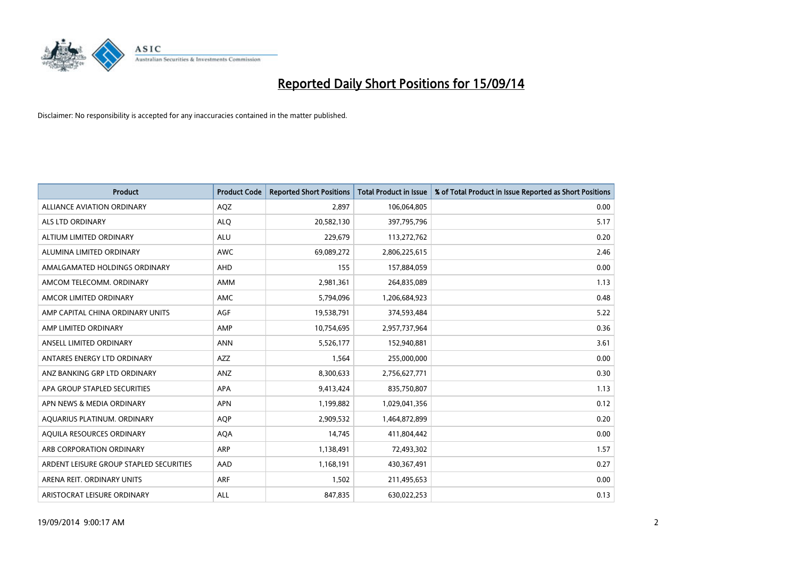

| <b>Product</b>                          | <b>Product Code</b> | <b>Reported Short Positions</b> | <b>Total Product in Issue</b> | % of Total Product in Issue Reported as Short Positions |
|-----------------------------------------|---------------------|---------------------------------|-------------------------------|---------------------------------------------------------|
| ALLIANCE AVIATION ORDINARY              | AQZ                 | 2,897                           | 106,064,805                   | 0.00                                                    |
| ALS LTD ORDINARY                        | <b>ALQ</b>          | 20,582,130                      | 397,795,796                   | 5.17                                                    |
| ALTIUM LIMITED ORDINARY                 | <b>ALU</b>          | 229,679                         | 113,272,762                   | 0.20                                                    |
| ALUMINA LIMITED ORDINARY                | <b>AWC</b>          | 69,089,272                      | 2,806,225,615                 | 2.46                                                    |
| AMALGAMATED HOLDINGS ORDINARY           | AHD                 | 155                             | 157,884,059                   | 0.00                                                    |
| AMCOM TELECOMM. ORDINARY                | AMM                 | 2,981,361                       | 264,835,089                   | 1.13                                                    |
| AMCOR LIMITED ORDINARY                  | AMC                 | 5,794,096                       | 1,206,684,923                 | 0.48                                                    |
| AMP CAPITAL CHINA ORDINARY UNITS        | AGF                 | 19,538,791                      | 374,593,484                   | 5.22                                                    |
| AMP LIMITED ORDINARY                    | AMP                 | 10,754,695                      | 2,957,737,964                 | 0.36                                                    |
| ANSELL LIMITED ORDINARY                 | <b>ANN</b>          | 5,526,177                       | 152,940,881                   | 3.61                                                    |
| ANTARES ENERGY LTD ORDINARY             | AZZ                 | 1,564                           | 255,000,000                   | 0.00                                                    |
| ANZ BANKING GRP LTD ORDINARY            | ANZ                 | 8,300,633                       | 2,756,627,771                 | 0.30                                                    |
| APA GROUP STAPLED SECURITIES            | APA                 | 9,413,424                       | 835,750,807                   | 1.13                                                    |
| APN NEWS & MEDIA ORDINARY               | <b>APN</b>          | 1,199,882                       | 1,029,041,356                 | 0.12                                                    |
| AQUARIUS PLATINUM. ORDINARY             | <b>AOP</b>          | 2,909,532                       | 1,464,872,899                 | 0.20                                                    |
| AQUILA RESOURCES ORDINARY               | <b>AQA</b>          | 14,745                          | 411,804,442                   | 0.00                                                    |
| ARB CORPORATION ORDINARY                | <b>ARP</b>          | 1,138,491                       | 72,493,302                    | 1.57                                                    |
| ARDENT LEISURE GROUP STAPLED SECURITIES | AAD                 | 1,168,191                       | 430,367,491                   | 0.27                                                    |
| ARENA REIT. ORDINARY UNITS              | <b>ARF</b>          | 1,502                           | 211,495,653                   | 0.00                                                    |
| ARISTOCRAT LEISURE ORDINARY             | ALL                 | 847,835                         | 630,022,253                   | 0.13                                                    |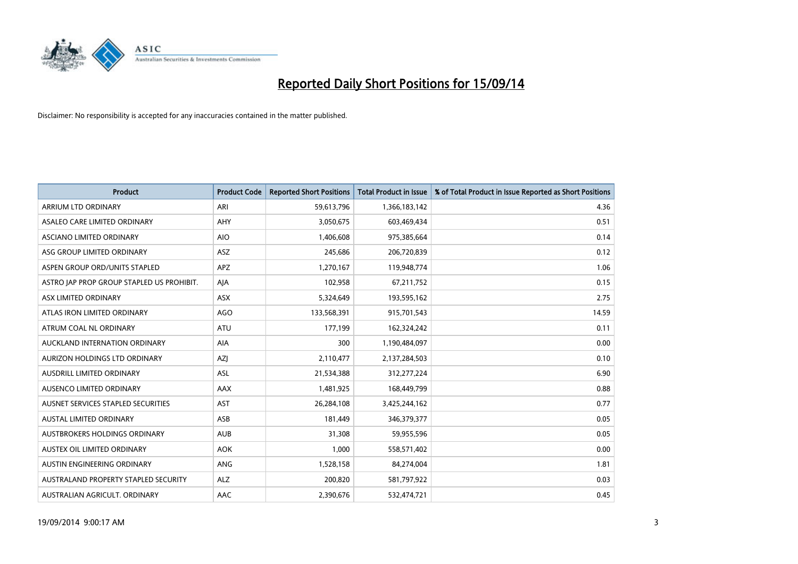

| <b>Product</b>                            | <b>Product Code</b> | <b>Reported Short Positions</b> | <b>Total Product in Issue</b> | % of Total Product in Issue Reported as Short Positions |
|-------------------------------------------|---------------------|---------------------------------|-------------------------------|---------------------------------------------------------|
| ARRIUM LTD ORDINARY                       | ARI                 | 59,613,796                      | 1,366,183,142                 | 4.36                                                    |
| ASALEO CARE LIMITED ORDINARY              | <b>AHY</b>          | 3,050,675                       | 603,469,434                   | 0.51                                                    |
| ASCIANO LIMITED ORDINARY                  | <b>AIO</b>          | 1,406,608                       | 975,385,664                   | 0.14                                                    |
| ASG GROUP LIMITED ORDINARY                | <b>ASZ</b>          | 245,686                         | 206,720,839                   | 0.12                                                    |
| ASPEN GROUP ORD/UNITS STAPLED             | <b>APZ</b>          | 1,270,167                       | 119,948,774                   | 1.06                                                    |
| ASTRO JAP PROP GROUP STAPLED US PROHIBIT. | AJA                 | 102,958                         | 67,211,752                    | 0.15                                                    |
| ASX LIMITED ORDINARY                      | ASX                 | 5,324,649                       | 193,595,162                   | 2.75                                                    |
| ATLAS IRON LIMITED ORDINARY               | <b>AGO</b>          | 133,568,391                     | 915,701,543                   | 14.59                                                   |
| ATRUM COAL NL ORDINARY                    | <b>ATU</b>          | 177,199                         | 162,324,242                   | 0.11                                                    |
| AUCKLAND INTERNATION ORDINARY             | AIA                 | 300                             | 1,190,484,097                 | 0.00                                                    |
| AURIZON HOLDINGS LTD ORDINARY             | AZJ                 | 2,110,477                       | 2,137,284,503                 | 0.10                                                    |
| <b>AUSDRILL LIMITED ORDINARY</b>          | <b>ASL</b>          | 21,534,388                      | 312,277,224                   | 6.90                                                    |
| AUSENCO LIMITED ORDINARY                  | AAX                 | 1,481,925                       | 168,449,799                   | 0.88                                                    |
| AUSNET SERVICES STAPLED SECURITIES        | <b>AST</b>          | 26,284,108                      | 3,425,244,162                 | 0.77                                                    |
| AUSTAL LIMITED ORDINARY                   | ASB                 | 181,449                         | 346,379,377                   | 0.05                                                    |
| <b>AUSTBROKERS HOLDINGS ORDINARY</b>      | <b>AUB</b>          | 31,308                          | 59,955,596                    | 0.05                                                    |
| AUSTEX OIL LIMITED ORDINARY               | <b>AOK</b>          | 1,000                           | 558,571,402                   | 0.00                                                    |
| AUSTIN ENGINEERING ORDINARY               | ANG                 | 1,528,158                       | 84,274,004                    | 1.81                                                    |
| AUSTRALAND PROPERTY STAPLED SECURITY      | <b>ALZ</b>          | 200,820                         | 581,797,922                   | 0.03                                                    |
| AUSTRALIAN AGRICULT. ORDINARY             | AAC                 | 2,390,676                       | 532,474,721                   | 0.45                                                    |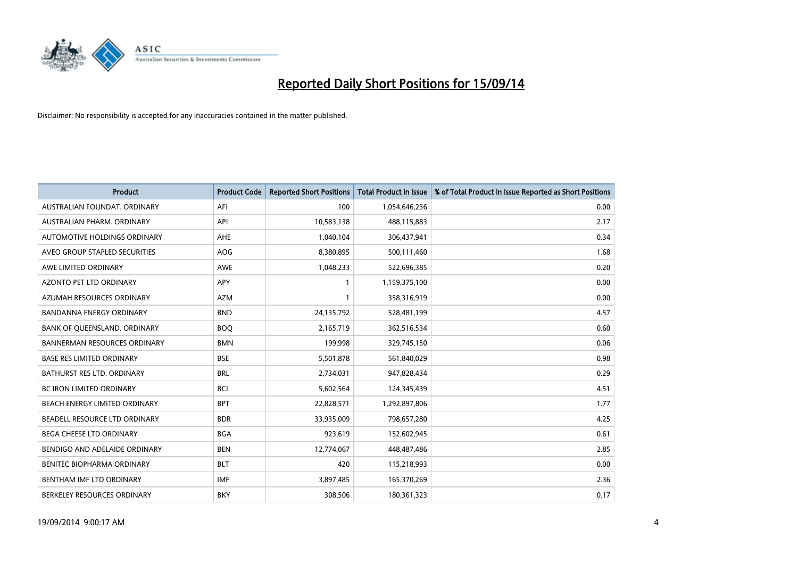

| <b>Product</b>                      | <b>Product Code</b> | <b>Reported Short Positions</b> | <b>Total Product in Issue</b> | % of Total Product in Issue Reported as Short Positions |
|-------------------------------------|---------------------|---------------------------------|-------------------------------|---------------------------------------------------------|
| AUSTRALIAN FOUNDAT, ORDINARY        | AFI                 | 100                             | 1,054,646,236                 | 0.00                                                    |
| AUSTRALIAN PHARM. ORDINARY          | API                 | 10,583,138                      | 488,115,883                   | 2.17                                                    |
| AUTOMOTIVE HOLDINGS ORDINARY        | AHE                 | 1,040,104                       | 306,437,941                   | 0.34                                                    |
| AVEO GROUP STAPLED SECURITIES       | AOG                 | 8,380,895                       | 500,111,460                   | 1.68                                                    |
| AWE LIMITED ORDINARY                | AWE                 | 1,048,233                       | 522,696,385                   | 0.20                                                    |
| <b>AZONTO PET LTD ORDINARY</b>      | APY                 | $\mathbf{1}$                    | 1,159,375,100                 | 0.00                                                    |
| AZUMAH RESOURCES ORDINARY           | <b>AZM</b>          | $\mathbf{1}$                    | 358,316,919                   | 0.00                                                    |
| BANDANNA ENERGY ORDINARY            | <b>BND</b>          | 24,135,792                      | 528,481,199                   | 4.57                                                    |
| BANK OF QUEENSLAND. ORDINARY        | <b>BOQ</b>          | 2,165,719                       | 362,516,534                   | 0.60                                                    |
| <b>BANNERMAN RESOURCES ORDINARY</b> | <b>BMN</b>          | 199,998                         | 329,745,150                   | 0.06                                                    |
| <b>BASE RES LIMITED ORDINARY</b>    | <b>BSE</b>          | 5,501,878                       | 561,840,029                   | 0.98                                                    |
| BATHURST RES LTD. ORDINARY          | <b>BRL</b>          | 2,734,031                       | 947,828,434                   | 0.29                                                    |
| BC IRON LIMITED ORDINARY            | <b>BCI</b>          | 5,602,564                       | 124,345,439                   | 4.51                                                    |
| BEACH ENERGY LIMITED ORDINARY       | <b>BPT</b>          | 22,828,571                      | 1,292,897,806                 | 1.77                                                    |
| BEADELL RESOURCE LTD ORDINARY       | <b>BDR</b>          | 33,935,009                      | 798,657,280                   | 4.25                                                    |
| BEGA CHEESE LTD ORDINARY            | <b>BGA</b>          | 923,619                         | 152,602,945                   | 0.61                                                    |
| BENDIGO AND ADELAIDE ORDINARY       | <b>BEN</b>          | 12,774,067                      | 448,487,486                   | 2.85                                                    |
| BENITEC BIOPHARMA ORDINARY          | <b>BLT</b>          | 420                             | 115,218,993                   | 0.00                                                    |
| BENTHAM IMF LTD ORDINARY            | <b>IMF</b>          | 3,897,485                       | 165,370,269                   | 2.36                                                    |
| BERKELEY RESOURCES ORDINARY         | <b>BKY</b>          | 308,506                         | 180,361,323                   | 0.17                                                    |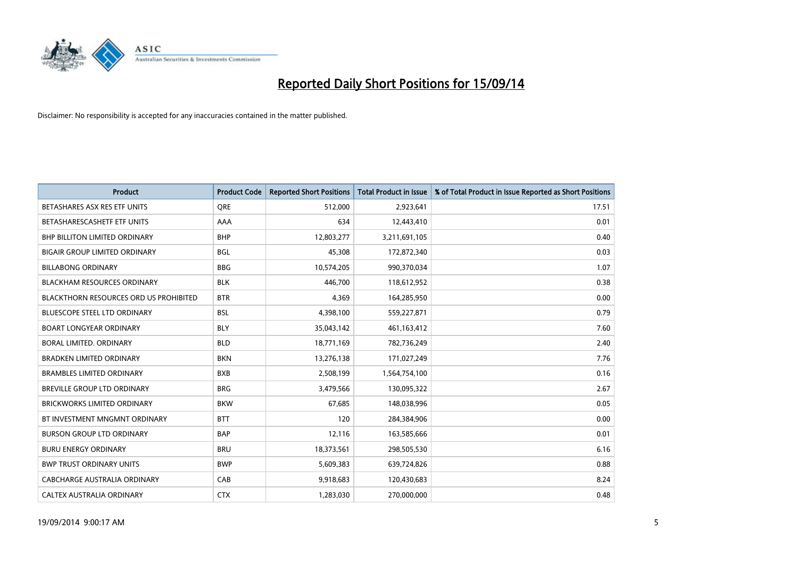

| <b>Product</b>                                | <b>Product Code</b> | <b>Reported Short Positions</b> | <b>Total Product in Issue</b> | % of Total Product in Issue Reported as Short Positions |
|-----------------------------------------------|---------------------|---------------------------------|-------------------------------|---------------------------------------------------------|
| BETASHARES ASX RES ETF UNITS                  | <b>ORE</b>          | 512,000                         | 2,923,641                     | 17.51                                                   |
| BETASHARESCASHETF ETF UNITS                   | AAA                 | 634                             | 12,443,410                    | 0.01                                                    |
| <b>BHP BILLITON LIMITED ORDINARY</b>          | <b>BHP</b>          | 12,803,277                      | 3,211,691,105                 | 0.40                                                    |
| <b>BIGAIR GROUP LIMITED ORDINARY</b>          | <b>BGL</b>          | 45,308                          | 172,872,340                   | 0.03                                                    |
| <b>BILLABONG ORDINARY</b>                     | <b>BBG</b>          | 10,574,205                      | 990,370,034                   | 1.07                                                    |
| <b>BLACKHAM RESOURCES ORDINARY</b>            | <b>BLK</b>          | 446.700                         | 118,612,952                   | 0.38                                                    |
| <b>BLACKTHORN RESOURCES ORD US PROHIBITED</b> | <b>BTR</b>          | 4,369                           | 164,285,950                   | 0.00                                                    |
| <b>BLUESCOPE STEEL LTD ORDINARY</b>           | <b>BSL</b>          | 4,398,100                       | 559,227,871                   | 0.79                                                    |
| <b>BOART LONGYEAR ORDINARY</b>                | <b>BLY</b>          | 35,043,142                      | 461,163,412                   | 7.60                                                    |
| <b>BORAL LIMITED, ORDINARY</b>                | <b>BLD</b>          | 18,771,169                      | 782,736,249                   | 2.40                                                    |
| <b>BRADKEN LIMITED ORDINARY</b>               | <b>BKN</b>          | 13,276,138                      | 171,027,249                   | 7.76                                                    |
| <b>BRAMBLES LIMITED ORDINARY</b>              | <b>BXB</b>          | 2,508,199                       | 1,564,754,100                 | 0.16                                                    |
| <b>BREVILLE GROUP LTD ORDINARY</b>            | <b>BRG</b>          | 3,479,566                       | 130,095,322                   | 2.67                                                    |
| <b>BRICKWORKS LIMITED ORDINARY</b>            | <b>BKW</b>          | 67,685                          | 148,038,996                   | 0.05                                                    |
| BT INVESTMENT MNGMNT ORDINARY                 | <b>BTT</b>          | 120                             | 284,384,906                   | 0.00                                                    |
| <b>BURSON GROUP LTD ORDINARY</b>              | <b>BAP</b>          | 12,116                          | 163,585,666                   | 0.01                                                    |
| <b>BURU ENERGY ORDINARY</b>                   | <b>BRU</b>          | 18,373,561                      | 298,505,530                   | 6.16                                                    |
| <b>BWP TRUST ORDINARY UNITS</b>               | <b>BWP</b>          | 5,609,383                       | 639,724,826                   | 0.88                                                    |
| <b>CABCHARGE AUSTRALIA ORDINARY</b>           | CAB                 | 9,918,683                       | 120,430,683                   | 8.24                                                    |
| CALTEX AUSTRALIA ORDINARY                     | <b>CTX</b>          | 1,283,030                       | 270,000,000                   | 0.48                                                    |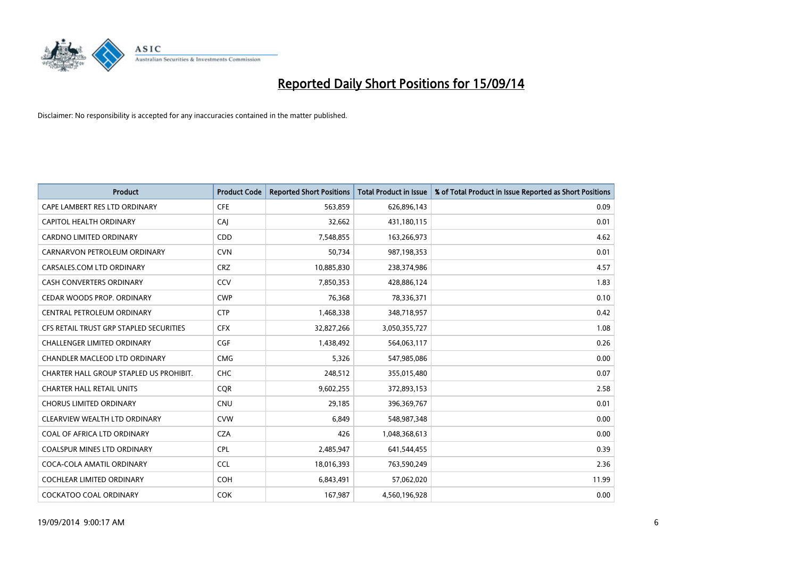

| <b>Product</b>                          | <b>Product Code</b> | <b>Reported Short Positions</b> | <b>Total Product in Issue</b> | % of Total Product in Issue Reported as Short Positions |
|-----------------------------------------|---------------------|---------------------------------|-------------------------------|---------------------------------------------------------|
| CAPE LAMBERT RES LTD ORDINARY           | <b>CFE</b>          | 563,859                         | 626,896,143                   | 0.09                                                    |
| CAPITOL HEALTH ORDINARY                 | CAI                 | 32,662                          | 431,180,115                   | 0.01                                                    |
| <b>CARDNO LIMITED ORDINARY</b>          | <b>CDD</b>          | 7,548,855                       | 163,266,973                   | 4.62                                                    |
| CARNARVON PETROLEUM ORDINARY            | <b>CVN</b>          | 50,734                          | 987,198,353                   | 0.01                                                    |
| CARSALES.COM LTD ORDINARY               | <b>CRZ</b>          | 10,885,830                      | 238,374,986                   | 4.57                                                    |
| <b>CASH CONVERTERS ORDINARY</b>         | CCV                 | 7,850,353                       | 428,886,124                   | 1.83                                                    |
| CEDAR WOODS PROP. ORDINARY              | <b>CWP</b>          | 76,368                          | 78,336,371                    | 0.10                                                    |
| CENTRAL PETROLEUM ORDINARY              | <b>CTP</b>          | 1,468,338                       | 348,718,957                   | 0.42                                                    |
| CFS RETAIL TRUST GRP STAPLED SECURITIES | <b>CFX</b>          | 32,827,266                      | 3,050,355,727                 | 1.08                                                    |
| <b>CHALLENGER LIMITED ORDINARY</b>      | <b>CGF</b>          | 1,438,492                       | 564,063,117                   | 0.26                                                    |
| CHANDLER MACLEOD LTD ORDINARY           | <b>CMG</b>          | 5,326                           | 547,985,086                   | 0.00                                                    |
| CHARTER HALL GROUP STAPLED US PROHIBIT. | <b>CHC</b>          | 248,512                         | 355,015,480                   | 0.07                                                    |
| <b>CHARTER HALL RETAIL UNITS</b>        | <b>COR</b>          | 9,602,255                       | 372,893,153                   | 2.58                                                    |
| <b>CHORUS LIMITED ORDINARY</b>          | <b>CNU</b>          | 29,185                          | 396,369,767                   | 0.01                                                    |
| CLEARVIEW WEALTH LTD ORDINARY           | <b>CVW</b>          | 6,849                           | 548,987,348                   | 0.00                                                    |
| COAL OF AFRICA LTD ORDINARY             | <b>CZA</b>          | 426                             | 1,048,368,613                 | 0.00                                                    |
| COALSPUR MINES LTD ORDINARY             | <b>CPL</b>          | 2,485,947                       | 641,544,455                   | 0.39                                                    |
| COCA-COLA AMATIL ORDINARY               | <b>CCL</b>          | 18,016,393                      | 763,590,249                   | 2.36                                                    |
| <b>COCHLEAR LIMITED ORDINARY</b>        | <b>COH</b>          | 6,843,491                       | 57,062,020                    | 11.99                                                   |
| COCKATOO COAL ORDINARY                  | COK                 | 167,987                         | 4,560,196,928                 | 0.00                                                    |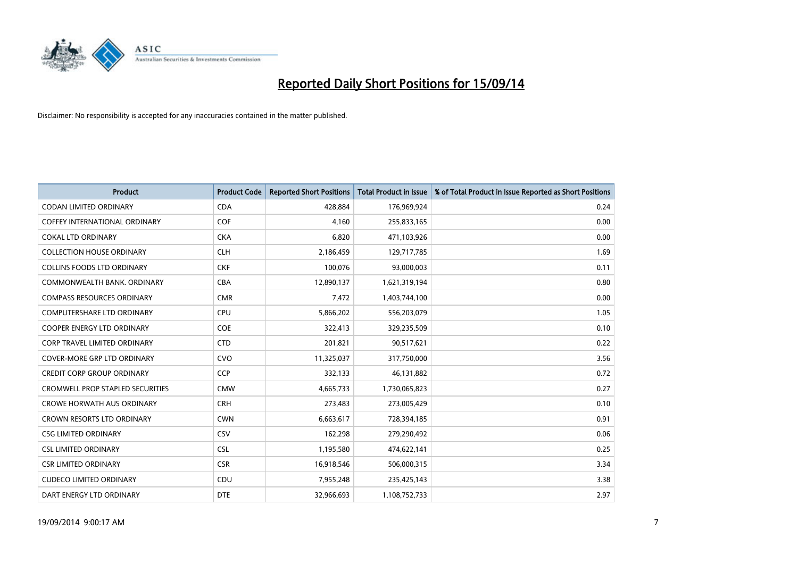

| <b>Product</b>                          | <b>Product Code</b> | <b>Reported Short Positions</b> | <b>Total Product in Issue</b> | % of Total Product in Issue Reported as Short Positions |
|-----------------------------------------|---------------------|---------------------------------|-------------------------------|---------------------------------------------------------|
| <b>CODAN LIMITED ORDINARY</b>           | <b>CDA</b>          | 428.884                         | 176,969,924                   | 0.24                                                    |
| COFFEY INTERNATIONAL ORDINARY           | <b>COF</b>          | 4,160                           | 255,833,165                   | 0.00                                                    |
| <b>COKAL LTD ORDINARY</b>               | <b>CKA</b>          | 6,820                           | 471,103,926                   | 0.00                                                    |
| <b>COLLECTION HOUSE ORDINARY</b>        | <b>CLH</b>          | 2,186,459                       | 129,717,785                   | 1.69                                                    |
| <b>COLLINS FOODS LTD ORDINARY</b>       | <b>CKF</b>          | 100,076                         | 93,000,003                    | 0.11                                                    |
| COMMONWEALTH BANK, ORDINARY             | <b>CBA</b>          | 12,890,137                      | 1,621,319,194                 | 0.80                                                    |
| <b>COMPASS RESOURCES ORDINARY</b>       | <b>CMR</b>          | 7,472                           | 1,403,744,100                 | 0.00                                                    |
| <b>COMPUTERSHARE LTD ORDINARY</b>       | <b>CPU</b>          | 5,866,202                       | 556,203,079                   | 1.05                                                    |
| <b>COOPER ENERGY LTD ORDINARY</b>       | <b>COE</b>          | 322,413                         | 329,235,509                   | 0.10                                                    |
| <b>CORP TRAVEL LIMITED ORDINARY</b>     | <b>CTD</b>          | 201,821                         | 90,517,621                    | 0.22                                                    |
| <b>COVER-MORE GRP LTD ORDINARY</b>      | <b>CVO</b>          | 11,325,037                      | 317,750,000                   | 3.56                                                    |
| <b>CREDIT CORP GROUP ORDINARY</b>       | <b>CCP</b>          | 332,133                         | 46,131,882                    | 0.72                                                    |
| <b>CROMWELL PROP STAPLED SECURITIES</b> | <b>CMW</b>          | 4,665,733                       | 1,730,065,823                 | 0.27                                                    |
| <b>CROWE HORWATH AUS ORDINARY</b>       | <b>CRH</b>          | 273,483                         | 273,005,429                   | 0.10                                                    |
| <b>CROWN RESORTS LTD ORDINARY</b>       | <b>CWN</b>          | 6,663,617                       | 728,394,185                   | 0.91                                                    |
| <b>CSG LIMITED ORDINARY</b>             | <b>CSV</b>          | 162,298                         | 279,290,492                   | 0.06                                                    |
| <b>CSL LIMITED ORDINARY</b>             | <b>CSL</b>          | 1,195,580                       | 474,622,141                   | 0.25                                                    |
| <b>CSR LIMITED ORDINARY</b>             | <b>CSR</b>          | 16,918,546                      | 506,000,315                   | 3.34                                                    |
| <b>CUDECO LIMITED ORDINARY</b>          | CDU                 | 7,955,248                       | 235,425,143                   | 3.38                                                    |
| DART ENERGY LTD ORDINARY                | <b>DTE</b>          | 32.966.693                      | 1,108,752,733                 | 2.97                                                    |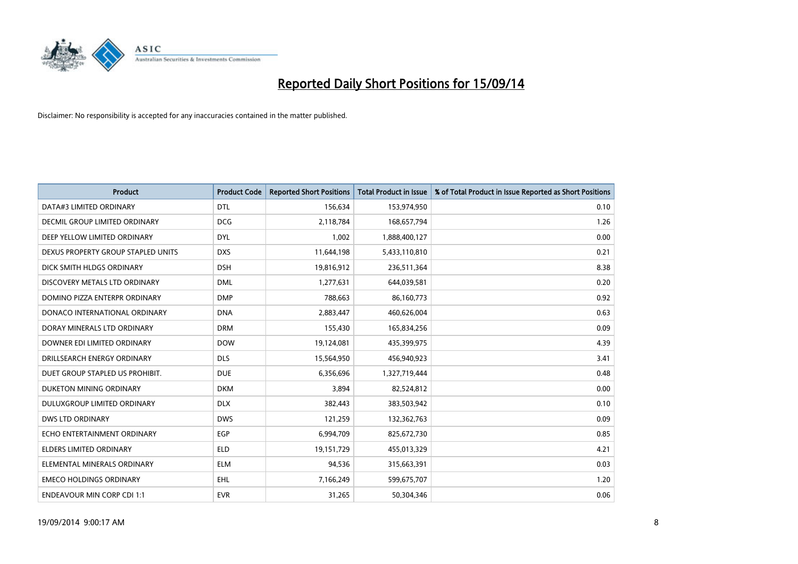

| <b>Product</b>                     | <b>Product Code</b> | <b>Reported Short Positions</b> | <b>Total Product in Issue</b> | % of Total Product in Issue Reported as Short Positions |
|------------------------------------|---------------------|---------------------------------|-------------------------------|---------------------------------------------------------|
| DATA#3 LIMITED ORDINARY            | <b>DTL</b>          | 156,634                         | 153,974,950                   | 0.10                                                    |
| DECMIL GROUP LIMITED ORDINARY      | <b>DCG</b>          | 2,118,784                       | 168,657,794                   | 1.26                                                    |
| DEEP YELLOW LIMITED ORDINARY       | <b>DYL</b>          | 1,002                           | 1,888,400,127                 | 0.00                                                    |
| DEXUS PROPERTY GROUP STAPLED UNITS | <b>DXS</b>          | 11,644,198                      | 5,433,110,810                 | 0.21                                                    |
| DICK SMITH HLDGS ORDINARY          | <b>DSH</b>          | 19,816,912                      | 236,511,364                   | 8.38                                                    |
| DISCOVERY METALS LTD ORDINARY      | <b>DML</b>          | 1,277,631                       | 644,039,581                   | 0.20                                                    |
| DOMINO PIZZA ENTERPR ORDINARY      | <b>DMP</b>          | 788,663                         | 86,160,773                    | 0.92                                                    |
| DONACO INTERNATIONAL ORDINARY      | <b>DNA</b>          | 2,883,447                       | 460,626,004                   | 0.63                                                    |
| DORAY MINERALS LTD ORDINARY        | <b>DRM</b>          | 155,430                         | 165,834,256                   | 0.09                                                    |
| DOWNER EDI LIMITED ORDINARY        | <b>DOW</b>          | 19,124,081                      | 435,399,975                   | 4.39                                                    |
| DRILLSEARCH ENERGY ORDINARY        | <b>DLS</b>          | 15,564,950                      | 456,940,923                   | 3.41                                                    |
| DUET GROUP STAPLED US PROHIBIT.    | <b>DUE</b>          | 6,356,696                       | 1,327,719,444                 | 0.48                                                    |
| DUKETON MINING ORDINARY            | <b>DKM</b>          | 3,894                           | 82,524,812                    | 0.00                                                    |
| DULUXGROUP LIMITED ORDINARY        | <b>DLX</b>          | 382,443                         | 383,503,942                   | 0.10                                                    |
| <b>DWS LTD ORDINARY</b>            | <b>DWS</b>          | 121,259                         | 132,362,763                   | 0.09                                                    |
| ECHO ENTERTAINMENT ORDINARY        | <b>EGP</b>          | 6,994,709                       | 825,672,730                   | 0.85                                                    |
| ELDERS LIMITED ORDINARY            | <b>ELD</b>          | 19,151,729                      | 455,013,329                   | 4.21                                                    |
| ELEMENTAL MINERALS ORDINARY        | <b>ELM</b>          | 94,536                          | 315,663,391                   | 0.03                                                    |
| <b>EMECO HOLDINGS ORDINARY</b>     | <b>EHL</b>          | 7,166,249                       | 599,675,707                   | 1.20                                                    |
| <b>ENDEAVOUR MIN CORP CDI 1:1</b>  | <b>EVR</b>          | 31,265                          | 50,304,346                    | 0.06                                                    |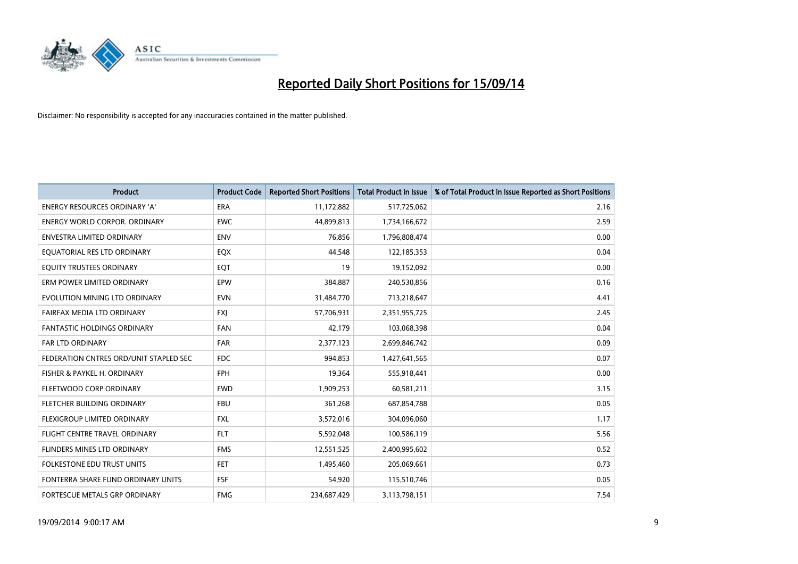

| <b>Product</b>                         | <b>Product Code</b> | <b>Reported Short Positions</b> | <b>Total Product in Issue</b> | % of Total Product in Issue Reported as Short Positions |
|----------------------------------------|---------------------|---------------------------------|-------------------------------|---------------------------------------------------------|
| <b>ENERGY RESOURCES ORDINARY 'A'</b>   | <b>ERA</b>          | 11,172,882                      | 517,725,062                   | 2.16                                                    |
| <b>ENERGY WORLD CORPOR. ORDINARY</b>   | <b>EWC</b>          | 44,899,813                      | 1,734,166,672                 | 2.59                                                    |
| <b>ENVESTRA LIMITED ORDINARY</b>       | <b>ENV</b>          | 76,856                          | 1,796,808,474                 | 0.00                                                    |
| EQUATORIAL RES LTD ORDINARY            | EQX                 | 44,548                          | 122,185,353                   | 0.04                                                    |
| EQUITY TRUSTEES ORDINARY               | EQT                 | 19                              | 19,152,092                    | 0.00                                                    |
| ERM POWER LIMITED ORDINARY             | EPW                 | 384,887                         | 240,530,856                   | 0.16                                                    |
| EVOLUTION MINING LTD ORDINARY          | <b>EVN</b>          | 31,484,770                      | 713,218,647                   | 4.41                                                    |
| FAIRFAX MEDIA LTD ORDINARY             | <b>FXI</b>          | 57,706,931                      | 2,351,955,725                 | 2.45                                                    |
| <b>FANTASTIC HOLDINGS ORDINARY</b>     | <b>FAN</b>          | 42,179                          | 103,068,398                   | 0.04                                                    |
| <b>FAR LTD ORDINARY</b>                | <b>FAR</b>          | 2,377,123                       | 2,699,846,742                 | 0.09                                                    |
| FEDERATION CNTRES ORD/UNIT STAPLED SEC | <b>FDC</b>          | 994,853                         | 1,427,641,565                 | 0.07                                                    |
| FISHER & PAYKEL H. ORDINARY            | <b>FPH</b>          | 19,364                          | 555,918,441                   | 0.00                                                    |
| FLEETWOOD CORP ORDINARY                | <b>FWD</b>          | 1,909,253                       | 60,581,211                    | 3.15                                                    |
| FLETCHER BUILDING ORDINARY             | <b>FBU</b>          | 361,268                         | 687,854,788                   | 0.05                                                    |
| FLEXIGROUP LIMITED ORDINARY            | <b>FXL</b>          | 3,572,016                       | 304,096,060                   | 1.17                                                    |
| FLIGHT CENTRE TRAVEL ORDINARY          | <b>FLT</b>          | 5,592,048                       | 100,586,119                   | 5.56                                                    |
| FLINDERS MINES LTD ORDINARY            | <b>FMS</b>          | 12,551,525                      | 2,400,995,602                 | 0.52                                                    |
| FOLKESTONE EDU TRUST UNITS             | <b>FET</b>          | 1,495,460                       | 205,069,661                   | 0.73                                                    |
| FONTERRA SHARE FUND ORDINARY UNITS     | <b>FSF</b>          | 54,920                          | 115,510,746                   | 0.05                                                    |
| FORTESCUE METALS GRP ORDINARY          | <b>FMG</b>          | 234,687,429                     | 3,113,798,151                 | 7.54                                                    |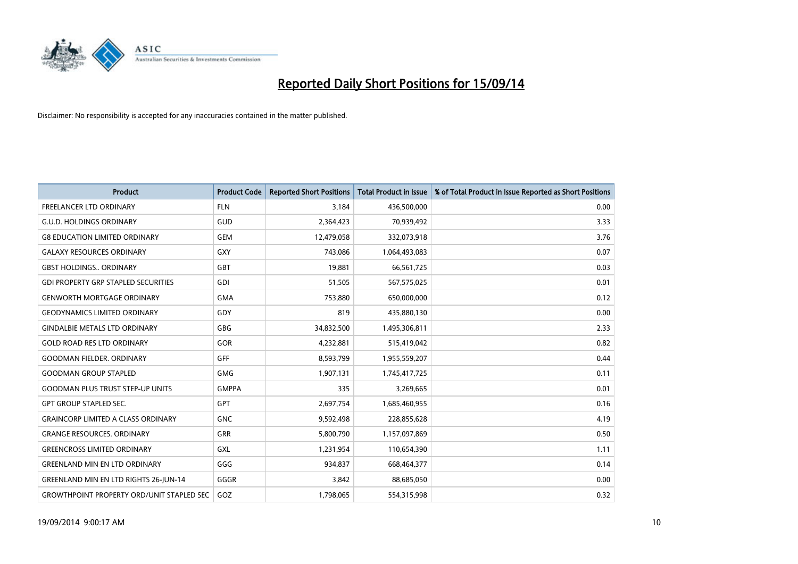

| <b>Product</b>                                   | <b>Product Code</b> | <b>Reported Short Positions</b> | <b>Total Product in Issue</b> | % of Total Product in Issue Reported as Short Positions |
|--------------------------------------------------|---------------------|---------------------------------|-------------------------------|---------------------------------------------------------|
| <b>FREELANCER LTD ORDINARY</b>                   | <b>FLN</b>          | 3.184                           | 436,500,000                   | 0.00                                                    |
| <b>G.U.D. HOLDINGS ORDINARY</b>                  | GUD                 | 2,364,423                       | 70,939,492                    | 3.33                                                    |
| <b>G8 EDUCATION LIMITED ORDINARY</b>             | <b>GEM</b>          | 12,479,058                      | 332,073,918                   | 3.76                                                    |
| <b>GALAXY RESOURCES ORDINARY</b>                 | <b>GXY</b>          | 743,086                         | 1,064,493,083                 | 0.07                                                    |
| <b>GBST HOLDINGS., ORDINARY</b>                  | <b>GBT</b>          | 19,881                          | 66,561,725                    | 0.03                                                    |
| <b>GDI PROPERTY GRP STAPLED SECURITIES</b>       | GDI                 | 51,505                          | 567,575,025                   | 0.01                                                    |
| <b>GENWORTH MORTGAGE ORDINARY</b>                | <b>GMA</b>          | 753,880                         | 650,000,000                   | 0.12                                                    |
| <b>GEODYNAMICS LIMITED ORDINARY</b>              | GDY                 | 819                             | 435,880,130                   | 0.00                                                    |
| <b>GINDALBIE METALS LTD ORDINARY</b>             | GBG                 | 34,832,500                      | 1,495,306,811                 | 2.33                                                    |
| <b>GOLD ROAD RES LTD ORDINARY</b>                | <b>GOR</b>          | 4,232,881                       | 515,419,042                   | 0.82                                                    |
| <b>GOODMAN FIELDER. ORDINARY</b>                 | <b>GFF</b>          | 8,593,799                       | 1,955,559,207                 | 0.44                                                    |
| <b>GOODMAN GROUP STAPLED</b>                     | <b>GMG</b>          | 1,907,131                       | 1,745,417,725                 | 0.11                                                    |
| <b>GOODMAN PLUS TRUST STEP-UP UNITS</b>          | <b>GMPPA</b>        | 335                             | 3,269,665                     | 0.01                                                    |
| <b>GPT GROUP STAPLED SEC.</b>                    | GPT                 | 2,697,754                       | 1,685,460,955                 | 0.16                                                    |
| <b>GRAINCORP LIMITED A CLASS ORDINARY</b>        | <b>GNC</b>          | 9,592,498                       | 228,855,628                   | 4.19                                                    |
| <b>GRANGE RESOURCES. ORDINARY</b>                | GRR                 | 5,800,790                       | 1,157,097,869                 | 0.50                                                    |
| <b>GREENCROSS LIMITED ORDINARY</b>               | GXL                 | 1,231,954                       | 110,654,390                   | 1.11                                                    |
| <b>GREENLAND MIN EN LTD ORDINARY</b>             | GGG                 | 934,837                         | 668,464,377                   | 0.14                                                    |
| <b>GREENLAND MIN EN LTD RIGHTS 26-JUN-14</b>     | GGGR                | 3,842                           | 88,685,050                    | 0.00                                                    |
| <b>GROWTHPOINT PROPERTY ORD/UNIT STAPLED SEC</b> | GOZ                 | 1,798,065                       | 554,315,998                   | 0.32                                                    |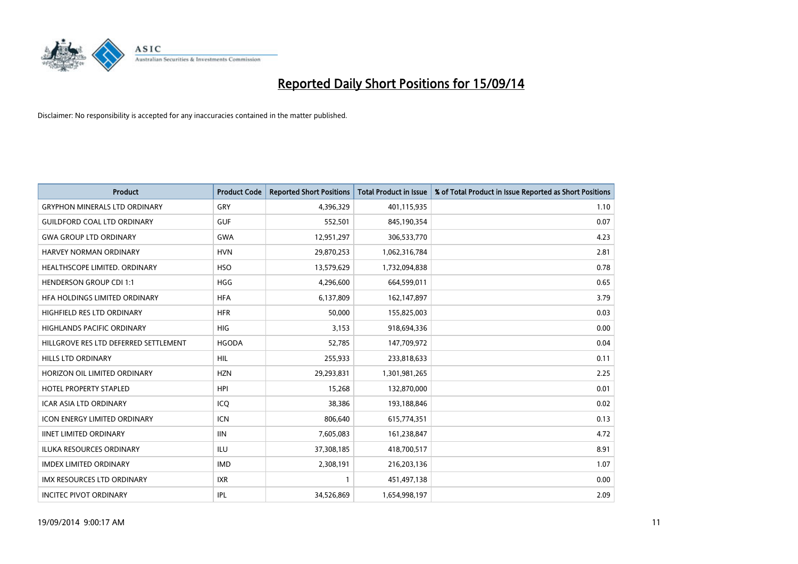

| <b>Product</b>                        | <b>Product Code</b> | <b>Reported Short Positions</b> | <b>Total Product in Issue</b> | % of Total Product in Issue Reported as Short Positions |
|---------------------------------------|---------------------|---------------------------------|-------------------------------|---------------------------------------------------------|
| <b>GRYPHON MINERALS LTD ORDINARY</b>  | GRY                 | 4,396,329                       | 401,115,935                   | 1.10                                                    |
| <b>GUILDFORD COAL LTD ORDINARY</b>    | <b>GUF</b>          | 552,501                         | 845,190,354                   | 0.07                                                    |
| <b>GWA GROUP LTD ORDINARY</b>         | <b>GWA</b>          | 12,951,297                      | 306,533,770                   | 4.23                                                    |
| HARVEY NORMAN ORDINARY                | <b>HVN</b>          | 29,870,253                      | 1,062,316,784                 | 2.81                                                    |
| HEALTHSCOPE LIMITED. ORDINARY         | <b>HSO</b>          | 13,579,629                      | 1,732,094,838                 | 0.78                                                    |
| <b>HENDERSON GROUP CDI 1:1</b>        | <b>HGG</b>          | 4,296,600                       | 664,599,011                   | 0.65                                                    |
| HFA HOLDINGS LIMITED ORDINARY         | <b>HFA</b>          | 6,137,809                       | 162,147,897                   | 3.79                                                    |
| HIGHFIELD RES LTD ORDINARY            | <b>HFR</b>          | 50,000                          | 155,825,003                   | 0.03                                                    |
| HIGHLANDS PACIFIC ORDINARY            | <b>HIG</b>          | 3,153                           | 918,694,336                   | 0.00                                                    |
| HILLGROVE RES LTD DEFERRED SETTLEMENT | <b>HGODA</b>        | 52,785                          | 147,709,972                   | 0.04                                                    |
| HILLS LTD ORDINARY                    | <b>HIL</b>          | 255,933                         | 233,818,633                   | 0.11                                                    |
| HORIZON OIL LIMITED ORDINARY          | <b>HZN</b>          | 29,293,831                      | 1,301,981,265                 | 2.25                                                    |
| HOTEL PROPERTY STAPLED                | <b>HPI</b>          | 15,268                          | 132,870,000                   | 0.01                                                    |
| <b>ICAR ASIA LTD ORDINARY</b>         | ICQ                 | 38,386                          | 193,188,846                   | 0.02                                                    |
| <b>ICON ENERGY LIMITED ORDINARY</b>   | <b>ICN</b>          | 806,640                         | 615,774,351                   | 0.13                                                    |
| <b>IINET LIMITED ORDINARY</b>         | <b>IIN</b>          | 7,605,083                       | 161,238,847                   | 4.72                                                    |
| <b>ILUKA RESOURCES ORDINARY</b>       | <b>ILU</b>          | 37,308,185                      | 418,700,517                   | 8.91                                                    |
| <b>IMDEX LIMITED ORDINARY</b>         | <b>IMD</b>          | 2,308,191                       | 216,203,136                   | 1.07                                                    |
| <b>IMX RESOURCES LTD ORDINARY</b>     | <b>IXR</b>          | 1                               | 451,497,138                   | 0.00                                                    |
| <b>INCITEC PIVOT ORDINARY</b>         | IPL                 | 34,526,869                      | 1,654,998,197                 | 2.09                                                    |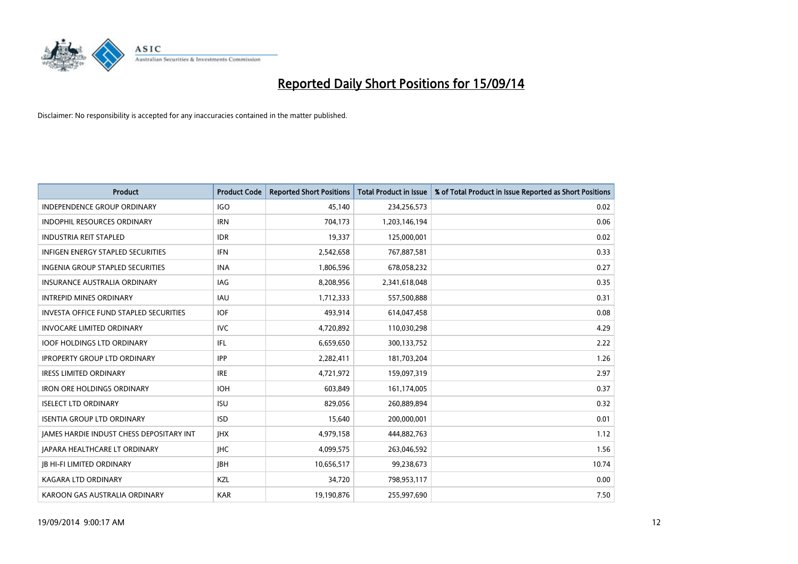

| <b>Product</b>                                | <b>Product Code</b> | <b>Reported Short Positions</b> | <b>Total Product in Issue</b> | % of Total Product in Issue Reported as Short Positions |
|-----------------------------------------------|---------------------|---------------------------------|-------------------------------|---------------------------------------------------------|
| <b>INDEPENDENCE GROUP ORDINARY</b>            | <b>IGO</b>          | 45,140                          | 234,256,573                   | 0.02                                                    |
| <b>INDOPHIL RESOURCES ORDINARY</b>            | <b>IRN</b>          | 704,173                         | 1,203,146,194                 | 0.06                                                    |
| <b>INDUSTRIA REIT STAPLED</b>                 | <b>IDR</b>          | 19,337                          | 125,000,001                   | 0.02                                                    |
| INFIGEN ENERGY STAPLED SECURITIES             | <b>IFN</b>          | 2,542,658                       | 767,887,581                   | 0.33                                                    |
| <b>INGENIA GROUP STAPLED SECURITIES</b>       | <b>INA</b>          | 1,806,596                       | 678,058,232                   | 0.27                                                    |
| <b>INSURANCE AUSTRALIA ORDINARY</b>           | <b>IAG</b>          | 8,208,956                       | 2,341,618,048                 | 0.35                                                    |
| <b>INTREPID MINES ORDINARY</b>                | <b>IAU</b>          | 1,712,333                       | 557,500,888                   | 0.31                                                    |
| <b>INVESTA OFFICE FUND STAPLED SECURITIES</b> | <b>IOF</b>          | 493,914                         | 614,047,458                   | 0.08                                                    |
| <b>INVOCARE LIMITED ORDINARY</b>              | IVC.                | 4,720,892                       | 110,030,298                   | 4.29                                                    |
| <b>IOOF HOLDINGS LTD ORDINARY</b>             | IFL                 | 6,659,650                       | 300,133,752                   | 2.22                                                    |
| <b>IPROPERTY GROUP LTD ORDINARY</b>           | <b>IPP</b>          | 2,282,411                       | 181,703,204                   | 1.26                                                    |
| <b>IRESS LIMITED ORDINARY</b>                 | <b>IRE</b>          | 4,721,972                       | 159,097,319                   | 2.97                                                    |
| <b>IRON ORE HOLDINGS ORDINARY</b>             | <b>IOH</b>          | 603,849                         | 161,174,005                   | 0.37                                                    |
| <b>ISELECT LTD ORDINARY</b>                   | <b>ISU</b>          | 829.056                         | 260,889,894                   | 0.32                                                    |
| <b>ISENTIA GROUP LTD ORDINARY</b>             | <b>ISD</b>          | 15,640                          | 200,000,001                   | 0.01                                                    |
| JAMES HARDIE INDUST CHESS DEPOSITARY INT      | <b>IHX</b>          | 4,979,158                       | 444,882,763                   | 1.12                                                    |
| <b>JAPARA HEALTHCARE LT ORDINARY</b>          | <b>IHC</b>          | 4,099,575                       | 263,046,592                   | 1.56                                                    |
| <b>JB HI-FI LIMITED ORDINARY</b>              | <b>IBH</b>          | 10,656,517                      | 99,238,673                    | 10.74                                                   |
| KAGARA LTD ORDINARY                           | KZL                 | 34,720                          | 798,953,117                   | 0.00                                                    |
| KAROON GAS AUSTRALIA ORDINARY                 | <b>KAR</b>          | 19,190,876                      | 255,997,690                   | 7.50                                                    |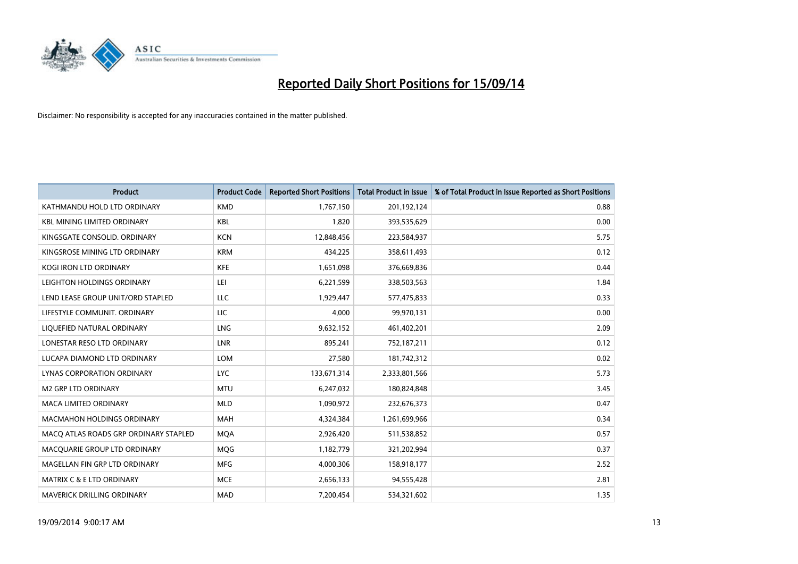

| <b>Product</b>                        | <b>Product Code</b> | <b>Reported Short Positions</b> | <b>Total Product in Issue</b> | % of Total Product in Issue Reported as Short Positions |
|---------------------------------------|---------------------|---------------------------------|-------------------------------|---------------------------------------------------------|
| KATHMANDU HOLD LTD ORDINARY           | <b>KMD</b>          | 1,767,150                       | 201,192,124                   | 0.88                                                    |
| <b>KBL MINING LIMITED ORDINARY</b>    | KBL                 | 1,820                           | 393,535,629                   | 0.00                                                    |
| KINGSGATE CONSOLID. ORDINARY          | <b>KCN</b>          | 12,848,456                      | 223,584,937                   | 5.75                                                    |
| KINGSROSE MINING LTD ORDINARY         | <b>KRM</b>          | 434,225                         | 358,611,493                   | 0.12                                                    |
| <b>KOGI IRON LTD ORDINARY</b>         | <b>KFE</b>          | 1,651,098                       | 376,669,836                   | 0.44                                                    |
| LEIGHTON HOLDINGS ORDINARY            | LEI                 | 6,221,599                       | 338,503,563                   | 1.84                                                    |
| LEND LEASE GROUP UNIT/ORD STAPLED     | LLC                 | 1,929,447                       | 577,475,833                   | 0.33                                                    |
| LIFESTYLE COMMUNIT, ORDINARY          | LIC                 | 4,000                           | 99,970,131                    | 0.00                                                    |
| LIQUEFIED NATURAL ORDINARY            | LNG                 | 9,632,152                       | 461,402,201                   | 2.09                                                    |
| LONESTAR RESO LTD ORDINARY            | LNR                 | 895,241                         | 752,187,211                   | 0.12                                                    |
| LUCAPA DIAMOND LTD ORDINARY           | <b>LOM</b>          | 27,580                          | 181,742,312                   | 0.02                                                    |
| LYNAS CORPORATION ORDINARY            | <b>LYC</b>          | 133,671,314                     | 2,333,801,566                 | 5.73                                                    |
| <b>M2 GRP LTD ORDINARY</b>            | <b>MTU</b>          | 6,247,032                       | 180,824,848                   | 3.45                                                    |
| <b>MACA LIMITED ORDINARY</b>          | <b>MLD</b>          | 1,090,972                       | 232,676,373                   | 0.47                                                    |
| <b>MACMAHON HOLDINGS ORDINARY</b>     | <b>MAH</b>          | 4,324,384                       | 1,261,699,966                 | 0.34                                                    |
| MACQ ATLAS ROADS GRP ORDINARY STAPLED | <b>MQA</b>          | 2,926,420                       | 511,538,852                   | 0.57                                                    |
| MACQUARIE GROUP LTD ORDINARY          | <b>MQG</b>          | 1,182,779                       | 321,202,994                   | 0.37                                                    |
| MAGELLAN FIN GRP LTD ORDINARY         | MFG                 | 4,000,306                       | 158,918,177                   | 2.52                                                    |
| <b>MATRIX C &amp; E LTD ORDINARY</b>  | <b>MCE</b>          | 2,656,133                       | 94,555,428                    | 2.81                                                    |
| <b>MAVERICK DRILLING ORDINARY</b>     | <b>MAD</b>          | 7,200,454                       | 534,321,602                   | 1.35                                                    |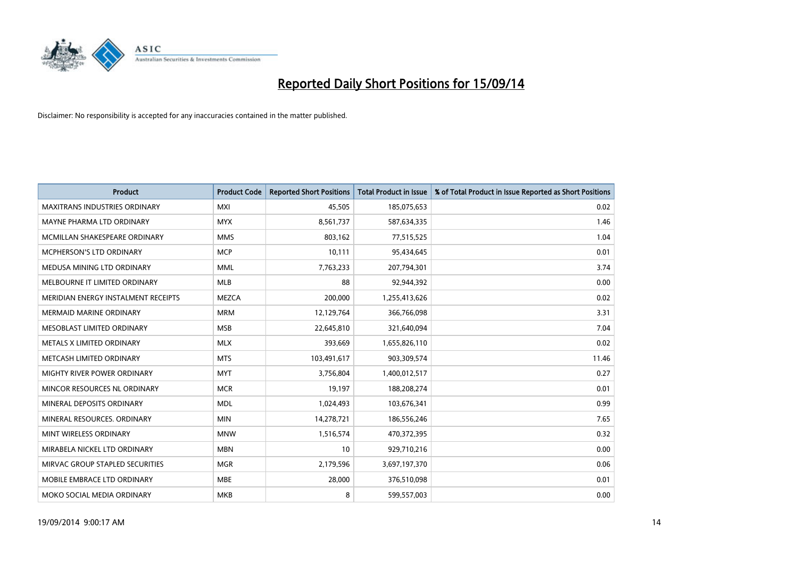

| <b>Product</b>                       | <b>Product Code</b> | <b>Reported Short Positions</b> | <b>Total Product in Issue</b> | % of Total Product in Issue Reported as Short Positions |
|--------------------------------------|---------------------|---------------------------------|-------------------------------|---------------------------------------------------------|
| <b>MAXITRANS INDUSTRIES ORDINARY</b> | <b>MXI</b>          | 45,505                          | 185,075,653                   | 0.02                                                    |
| MAYNE PHARMA LTD ORDINARY            | <b>MYX</b>          | 8,561,737                       | 587,634,335                   | 1.46                                                    |
| MCMILLAN SHAKESPEARE ORDINARY        | <b>MMS</b>          | 803.162                         | 77,515,525                    | 1.04                                                    |
| MCPHERSON'S LTD ORDINARY             | <b>MCP</b>          | 10,111                          | 95,434,645                    | 0.01                                                    |
| MEDUSA MINING LTD ORDINARY           | <b>MML</b>          | 7,763,233                       | 207,794,301                   | 3.74                                                    |
| MELBOURNE IT LIMITED ORDINARY        | <b>MLB</b>          | 88                              | 92,944,392                    | 0.00                                                    |
| MERIDIAN ENERGY INSTALMENT RECEIPTS  | <b>MEZCA</b>        | 200,000                         | 1,255,413,626                 | 0.02                                                    |
| <b>MERMAID MARINE ORDINARY</b>       | <b>MRM</b>          | 12,129,764                      | 366,766,098                   | 3.31                                                    |
| MESOBLAST LIMITED ORDINARY           | <b>MSB</b>          | 22,645,810                      | 321,640,094                   | 7.04                                                    |
| METALS X LIMITED ORDINARY            | <b>MLX</b>          | 393,669                         | 1,655,826,110                 | 0.02                                                    |
| METCASH LIMITED ORDINARY             | <b>MTS</b>          | 103,491,617                     | 903,309,574                   | 11.46                                                   |
| MIGHTY RIVER POWER ORDINARY          | <b>MYT</b>          | 3,756,804                       | 1,400,012,517                 | 0.27                                                    |
| MINCOR RESOURCES NL ORDINARY         | <b>MCR</b>          | 19,197                          | 188,208,274                   | 0.01                                                    |
| MINERAL DEPOSITS ORDINARY            | <b>MDL</b>          | 1,024,493                       | 103,676,341                   | 0.99                                                    |
| MINERAL RESOURCES, ORDINARY          | <b>MIN</b>          | 14,278,721                      | 186,556,246                   | 7.65                                                    |
| MINT WIRELESS ORDINARY               | <b>MNW</b>          | 1,516,574                       | 470,372,395                   | 0.32                                                    |
| MIRABELA NICKEL LTD ORDINARY         | <b>MBN</b>          | 10                              | 929,710,216                   | 0.00                                                    |
| MIRVAC GROUP STAPLED SECURITIES      | <b>MGR</b>          | 2,179,596                       | 3,697,197,370                 | 0.06                                                    |
| MOBILE EMBRACE LTD ORDINARY          | <b>MBE</b>          | 28,000                          | 376,510,098                   | 0.01                                                    |
| MOKO SOCIAL MEDIA ORDINARY           | <b>MKB</b>          | 8                               | 599,557,003                   | 0.00                                                    |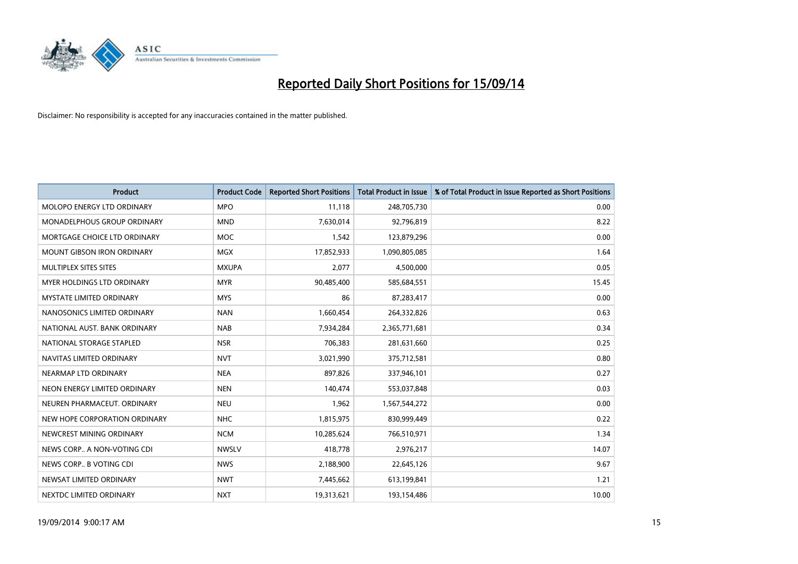

| <b>Product</b>                    | <b>Product Code</b> | <b>Reported Short Positions</b> | <b>Total Product in Issue</b> | % of Total Product in Issue Reported as Short Positions |
|-----------------------------------|---------------------|---------------------------------|-------------------------------|---------------------------------------------------------|
| MOLOPO ENERGY LTD ORDINARY        | <b>MPO</b>          | 11,118                          | 248,705,730                   | 0.00                                                    |
| MONADELPHOUS GROUP ORDINARY       | <b>MND</b>          | 7,630,014                       | 92,796,819                    | 8.22                                                    |
| MORTGAGE CHOICE LTD ORDINARY      | <b>MOC</b>          | 1,542                           | 123,879,296                   | 0.00                                                    |
| <b>MOUNT GIBSON IRON ORDINARY</b> | <b>MGX</b>          | 17,852,933                      | 1,090,805,085                 | 1.64                                                    |
| MULTIPLEX SITES SITES             | <b>MXUPA</b>        | 2,077                           | 4,500,000                     | 0.05                                                    |
| MYER HOLDINGS LTD ORDINARY        | <b>MYR</b>          | 90,485,400                      | 585,684,551                   | 15.45                                                   |
| <b>MYSTATE LIMITED ORDINARY</b>   | <b>MYS</b>          | 86                              | 87,283,417                    | 0.00                                                    |
| NANOSONICS LIMITED ORDINARY       | <b>NAN</b>          | 1,660,454                       | 264,332,826                   | 0.63                                                    |
| NATIONAL AUST. BANK ORDINARY      | <b>NAB</b>          | 7,934,284                       | 2,365,771,681                 | 0.34                                                    |
| NATIONAL STORAGE STAPLED          | <b>NSR</b>          | 706,383                         | 281,631,660                   | 0.25                                                    |
| NAVITAS LIMITED ORDINARY          | <b>NVT</b>          | 3,021,990                       | 375,712,581                   | 0.80                                                    |
| NEARMAP LTD ORDINARY              | <b>NEA</b>          | 897,826                         | 337,946,101                   | 0.27                                                    |
| NEON ENERGY LIMITED ORDINARY      | <b>NEN</b>          | 140,474                         | 553,037,848                   | 0.03                                                    |
| NEUREN PHARMACEUT, ORDINARY       | <b>NEU</b>          | 1,962                           | 1,567,544,272                 | 0.00                                                    |
| NEW HOPE CORPORATION ORDINARY     | <b>NHC</b>          | 1,815,975                       | 830,999,449                   | 0.22                                                    |
| NEWCREST MINING ORDINARY          | <b>NCM</b>          | 10,285,624                      | 766,510,971                   | 1.34                                                    |
| NEWS CORP A NON-VOTING CDI        | <b>NWSLV</b>        | 418,778                         | 2,976,217                     | 14.07                                                   |
| NEWS CORP B VOTING CDI            | <b>NWS</b>          | 2,188,900                       | 22,645,126                    | 9.67                                                    |
| NEWSAT LIMITED ORDINARY           | <b>NWT</b>          | 7,445,662                       | 613,199,841                   | 1.21                                                    |
| NEXTDC LIMITED ORDINARY           | <b>NXT</b>          | 19,313,621                      | 193,154,486                   | 10.00                                                   |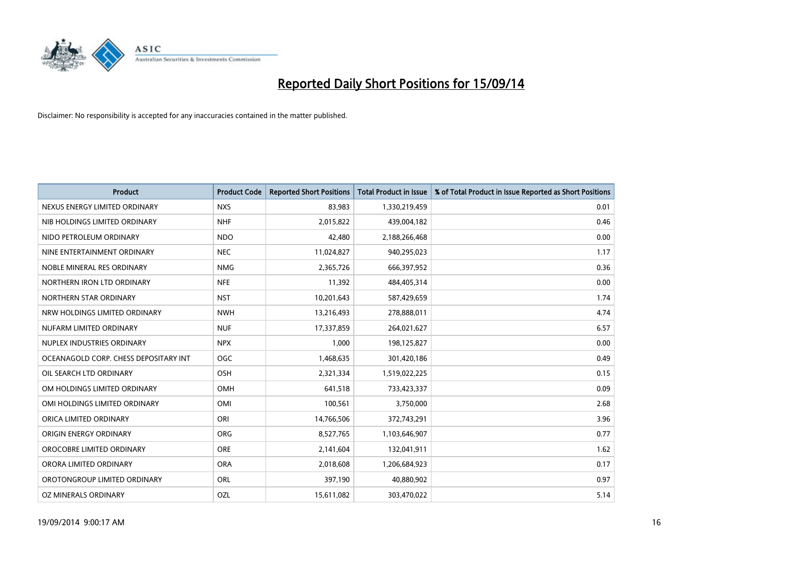

| <b>Product</b>                        | <b>Product Code</b> | <b>Reported Short Positions</b> | <b>Total Product in Issue</b> | % of Total Product in Issue Reported as Short Positions |
|---------------------------------------|---------------------|---------------------------------|-------------------------------|---------------------------------------------------------|
| NEXUS ENERGY LIMITED ORDINARY         | <b>NXS</b>          | 83,983                          | 1,330,219,459                 | 0.01                                                    |
| NIB HOLDINGS LIMITED ORDINARY         | <b>NHF</b>          | 2,015,822                       | 439,004,182                   | 0.46                                                    |
| NIDO PETROLEUM ORDINARY               | <b>NDO</b>          | 42,480                          | 2,188,266,468                 | 0.00                                                    |
| NINE ENTERTAINMENT ORDINARY           | <b>NEC</b>          | 11,024,827                      | 940,295,023                   | 1.17                                                    |
| NOBLE MINERAL RES ORDINARY            | <b>NMG</b>          | 2,365,726                       | 666,397,952                   | 0.36                                                    |
| NORTHERN IRON LTD ORDINARY            | <b>NFE</b>          | 11,392                          | 484,405,314                   | 0.00                                                    |
| NORTHERN STAR ORDINARY                | <b>NST</b>          | 10,201,643                      | 587,429,659                   | 1.74                                                    |
| NRW HOLDINGS LIMITED ORDINARY         | <b>NWH</b>          | 13,216,493                      | 278,888,011                   | 4.74                                                    |
| NUFARM LIMITED ORDINARY               | <b>NUF</b>          | 17,337,859                      | 264,021,627                   | 6.57                                                    |
| NUPLEX INDUSTRIES ORDINARY            | <b>NPX</b>          | 1,000                           | 198,125,827                   | 0.00                                                    |
| OCEANAGOLD CORP. CHESS DEPOSITARY INT | <b>OGC</b>          | 1,468,635                       | 301,420,186                   | 0.49                                                    |
| OIL SEARCH LTD ORDINARY               | OSH                 | 2,321,334                       | 1,519,022,225                 | 0.15                                                    |
| OM HOLDINGS LIMITED ORDINARY          | OMH                 | 641,518                         | 733,423,337                   | 0.09                                                    |
| OMI HOLDINGS LIMITED ORDINARY         | OMI                 | 100,561                         | 3,750,000                     | 2.68                                                    |
| ORICA LIMITED ORDINARY                | ORI                 | 14,766,506                      | 372,743,291                   | 3.96                                                    |
| ORIGIN ENERGY ORDINARY                | <b>ORG</b>          | 8,527,765                       | 1,103,646,907                 | 0.77                                                    |
| OROCOBRE LIMITED ORDINARY             | <b>ORE</b>          | 2,141,604                       | 132,041,911                   | 1.62                                                    |
| ORORA LIMITED ORDINARY                | <b>ORA</b>          | 2,018,608                       | 1,206,684,923                 | 0.17                                                    |
| OROTONGROUP LIMITED ORDINARY          | ORL                 | 397,190                         | 40,880,902                    | 0.97                                                    |
| OZ MINERALS ORDINARY                  | OZL                 | 15,611,082                      | 303,470,022                   | 5.14                                                    |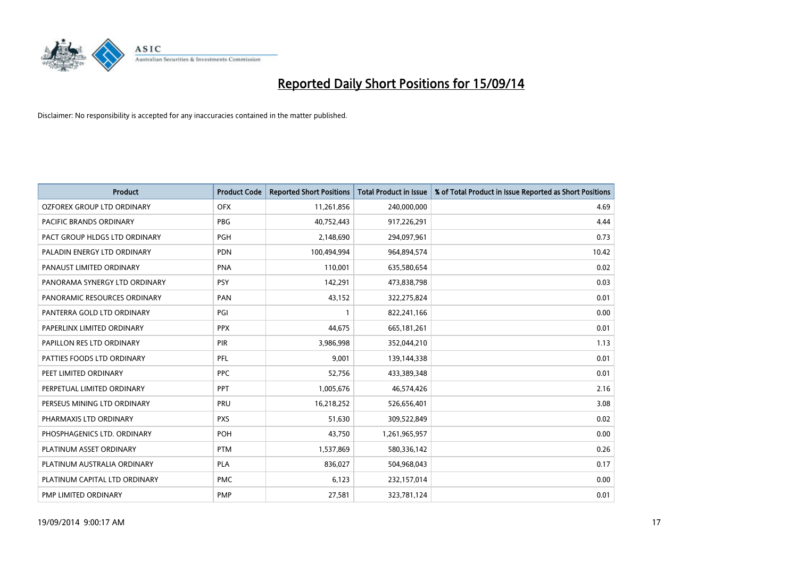

| <b>Product</b>                | <b>Product Code</b> | <b>Reported Short Positions</b> | <b>Total Product in Issue</b> | % of Total Product in Issue Reported as Short Positions |
|-------------------------------|---------------------|---------------------------------|-------------------------------|---------------------------------------------------------|
| OZFOREX GROUP LTD ORDINARY    | <b>OFX</b>          | 11,261,856                      | 240,000,000                   | 4.69                                                    |
| PACIFIC BRANDS ORDINARY       | <b>PBG</b>          | 40,752,443                      | 917,226,291                   | 4.44                                                    |
| PACT GROUP HLDGS LTD ORDINARY | <b>PGH</b>          | 2,148,690                       | 294,097,961                   | 0.73                                                    |
| PALADIN ENERGY LTD ORDINARY   | <b>PDN</b>          | 100,494,994                     | 964,894,574                   | 10.42                                                   |
| PANAUST LIMITED ORDINARY      | <b>PNA</b>          | 110,001                         | 635,580,654                   | 0.02                                                    |
| PANORAMA SYNERGY LTD ORDINARY | <b>PSY</b>          | 142,291                         | 473,838,798                   | 0.03                                                    |
| PANORAMIC RESOURCES ORDINARY  | PAN                 | 43,152                          | 322,275,824                   | 0.01                                                    |
| PANTERRA GOLD LTD ORDINARY    | PGI                 | $\mathbf{1}$                    | 822,241,166                   | 0.00                                                    |
| PAPERLINX LIMITED ORDINARY    | <b>PPX</b>          | 44,675                          | 665, 181, 261                 | 0.01                                                    |
| PAPILLON RES LTD ORDINARY     | PIR                 | 3,986,998                       | 352,044,210                   | 1.13                                                    |
| PATTIES FOODS LTD ORDINARY    | <b>PFL</b>          | 9,001                           | 139,144,338                   | 0.01                                                    |
| PEET LIMITED ORDINARY         | <b>PPC</b>          | 52,756                          | 433,389,348                   | 0.01                                                    |
| PERPETUAL LIMITED ORDINARY    | PPT                 | 1,005,676                       | 46,574,426                    | 2.16                                                    |
| PERSEUS MINING LTD ORDINARY   | PRU                 | 16,218,252                      | 526,656,401                   | 3.08                                                    |
| PHARMAXIS LTD ORDINARY        | <b>PXS</b>          | 51,630                          | 309,522,849                   | 0.02                                                    |
| PHOSPHAGENICS LTD. ORDINARY   | <b>POH</b>          | 43,750                          | 1,261,965,957                 | 0.00                                                    |
| PLATINUM ASSET ORDINARY       | <b>PTM</b>          | 1,537,869                       | 580,336,142                   | 0.26                                                    |
| PLATINUM AUSTRALIA ORDINARY   | PLA                 | 836,027                         | 504,968,043                   | 0.17                                                    |
| PLATINUM CAPITAL LTD ORDINARY | <b>PMC</b>          | 6,123                           | 232,157,014                   | 0.00                                                    |
| PMP LIMITED ORDINARY          | <b>PMP</b>          | 27,581                          | 323,781,124                   | 0.01                                                    |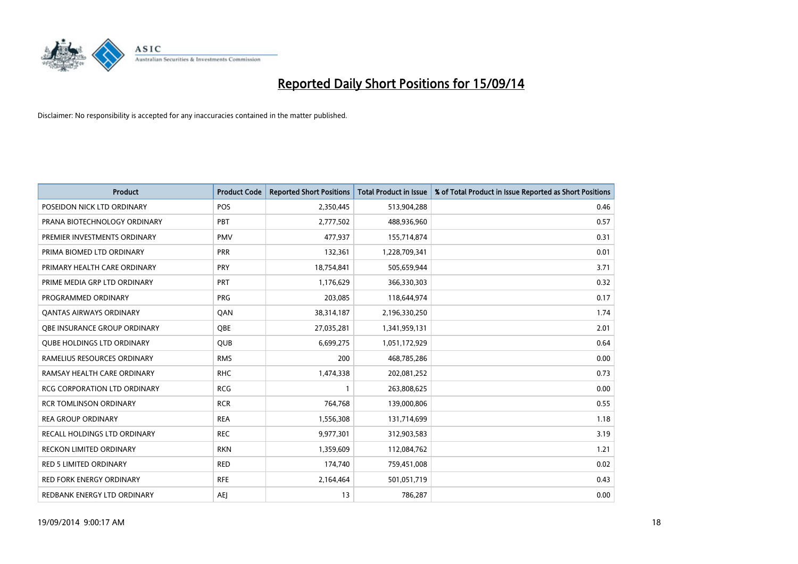

| <b>Product</b>                    | <b>Product Code</b> | <b>Reported Short Positions</b> | <b>Total Product in Issue</b> | % of Total Product in Issue Reported as Short Positions |
|-----------------------------------|---------------------|---------------------------------|-------------------------------|---------------------------------------------------------|
| POSEIDON NICK LTD ORDINARY        | <b>POS</b>          | 2,350,445                       | 513,904,288                   | 0.46                                                    |
| PRANA BIOTECHNOLOGY ORDINARY      | <b>PBT</b>          | 2,777,502                       | 488,936,960                   | 0.57                                                    |
| PREMIER INVESTMENTS ORDINARY      | <b>PMV</b>          | 477,937                         | 155,714,874                   | 0.31                                                    |
| PRIMA BIOMED LTD ORDINARY         | <b>PRR</b>          | 132,361                         | 1,228,709,341                 | 0.01                                                    |
| PRIMARY HEALTH CARE ORDINARY      | <b>PRY</b>          | 18,754,841                      | 505,659,944                   | 3.71                                                    |
| PRIME MEDIA GRP LTD ORDINARY      | PRT                 | 1,176,629                       | 366,330,303                   | 0.32                                                    |
| PROGRAMMED ORDINARY               | <b>PRG</b>          | 203,085                         | 118,644,974                   | 0.17                                                    |
| <b>QANTAS AIRWAYS ORDINARY</b>    | QAN                 | 38,314,187                      | 2,196,330,250                 | 1.74                                                    |
| OBE INSURANCE GROUP ORDINARY      | OBE                 | 27,035,281                      | 1,341,959,131                 | 2.01                                                    |
| <b>QUBE HOLDINGS LTD ORDINARY</b> | <b>QUB</b>          | 6,699,275                       | 1,051,172,929                 | 0.64                                                    |
| RAMELIUS RESOURCES ORDINARY       | <b>RMS</b>          | 200                             | 468,785,286                   | 0.00                                                    |
| RAMSAY HEALTH CARE ORDINARY       | <b>RHC</b>          | 1,474,338                       | 202,081,252                   | 0.73                                                    |
| RCG CORPORATION LTD ORDINARY      | <b>RCG</b>          | $\mathbf{1}$                    | 263,808,625                   | 0.00                                                    |
| <b>RCR TOMLINSON ORDINARY</b>     | <b>RCR</b>          | 764,768                         | 139,000,806                   | 0.55                                                    |
| <b>REA GROUP ORDINARY</b>         | <b>REA</b>          | 1,556,308                       | 131,714,699                   | 1.18                                                    |
| RECALL HOLDINGS LTD ORDINARY      | <b>REC</b>          | 9,977,301                       | 312,903,583                   | 3.19                                                    |
| RECKON LIMITED ORDINARY           | <b>RKN</b>          | 1,359,609                       | 112,084,762                   | 1.21                                                    |
| RED 5 LIMITED ORDINARY            | <b>RED</b>          | 174,740                         | 759,451,008                   | 0.02                                                    |
| <b>RED FORK ENERGY ORDINARY</b>   | <b>RFE</b>          | 2,164,464                       | 501,051,719                   | 0.43                                                    |
| REDBANK ENERGY LTD ORDINARY       | <b>AEJ</b>          | 13                              | 786,287                       | 0.00                                                    |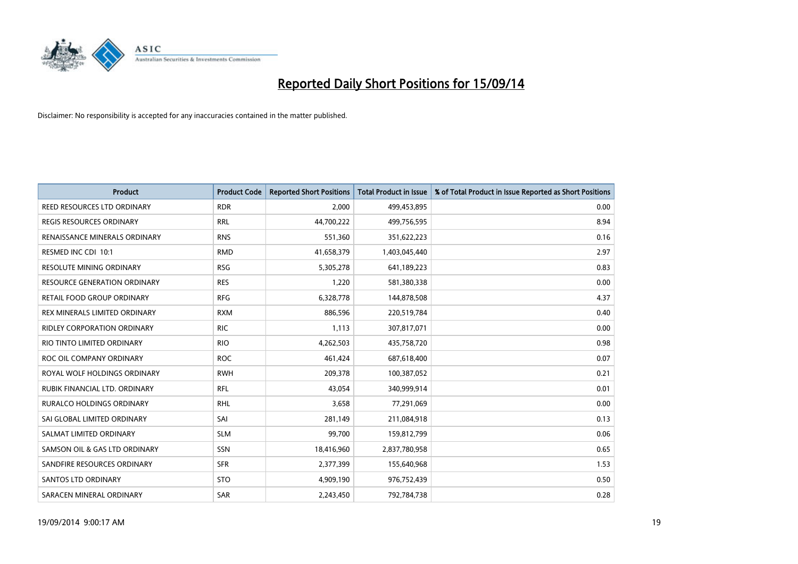

| <b>Product</b>                     | <b>Product Code</b> | <b>Reported Short Positions</b> | <b>Total Product in Issue</b> | % of Total Product in Issue Reported as Short Positions |
|------------------------------------|---------------------|---------------------------------|-------------------------------|---------------------------------------------------------|
| <b>REED RESOURCES LTD ORDINARY</b> | <b>RDR</b>          | 2,000                           | 499,453,895                   | 0.00                                                    |
| <b>REGIS RESOURCES ORDINARY</b>    | <b>RRL</b>          | 44,700,222                      | 499,756,595                   | 8.94                                                    |
| RENAISSANCE MINERALS ORDINARY      | <b>RNS</b>          | 551,360                         | 351,622,223                   | 0.16                                                    |
| RESMED INC CDI 10:1                | <b>RMD</b>          | 41,658,379                      | 1,403,045,440                 | 2.97                                                    |
| <b>RESOLUTE MINING ORDINARY</b>    | <b>RSG</b>          | 5,305,278                       | 641,189,223                   | 0.83                                                    |
| RESOURCE GENERATION ORDINARY       | <b>RES</b>          | 1,220                           | 581,380,338                   | 0.00                                                    |
| RETAIL FOOD GROUP ORDINARY         | <b>RFG</b>          | 6,328,778                       | 144,878,508                   | 4.37                                                    |
| REX MINERALS LIMITED ORDINARY      | <b>RXM</b>          | 886,596                         | 220,519,784                   | 0.40                                                    |
| <b>RIDLEY CORPORATION ORDINARY</b> | <b>RIC</b>          | 1,113                           | 307,817,071                   | 0.00                                                    |
| RIO TINTO LIMITED ORDINARY         | <b>RIO</b>          | 4,262,503                       | 435,758,720                   | 0.98                                                    |
| ROC OIL COMPANY ORDINARY           | <b>ROC</b>          | 461,424                         | 687,618,400                   | 0.07                                                    |
| ROYAL WOLF HOLDINGS ORDINARY       | <b>RWH</b>          | 209,378                         | 100,387,052                   | 0.21                                                    |
| RUBIK FINANCIAL LTD. ORDINARY      | RFL                 | 43,054                          | 340,999,914                   | 0.01                                                    |
| <b>RURALCO HOLDINGS ORDINARY</b>   | <b>RHL</b>          | 3,658                           | 77,291,069                    | 0.00                                                    |
| SAI GLOBAL LIMITED ORDINARY        | SAI                 | 281,149                         | 211,084,918                   | 0.13                                                    |
| SALMAT LIMITED ORDINARY            | <b>SLM</b>          | 99,700                          | 159,812,799                   | 0.06                                                    |
| SAMSON OIL & GAS LTD ORDINARY      | SSN                 | 18,416,960                      | 2,837,780,958                 | 0.65                                                    |
| SANDFIRE RESOURCES ORDINARY        | <b>SFR</b>          | 2,377,399                       | 155,640,968                   | 1.53                                                    |
| SANTOS LTD ORDINARY                | <b>STO</b>          | 4,909,190                       | 976,752,439                   | 0.50                                                    |
| SARACEN MINERAL ORDINARY           | SAR                 | 2,243,450                       | 792,784,738                   | 0.28                                                    |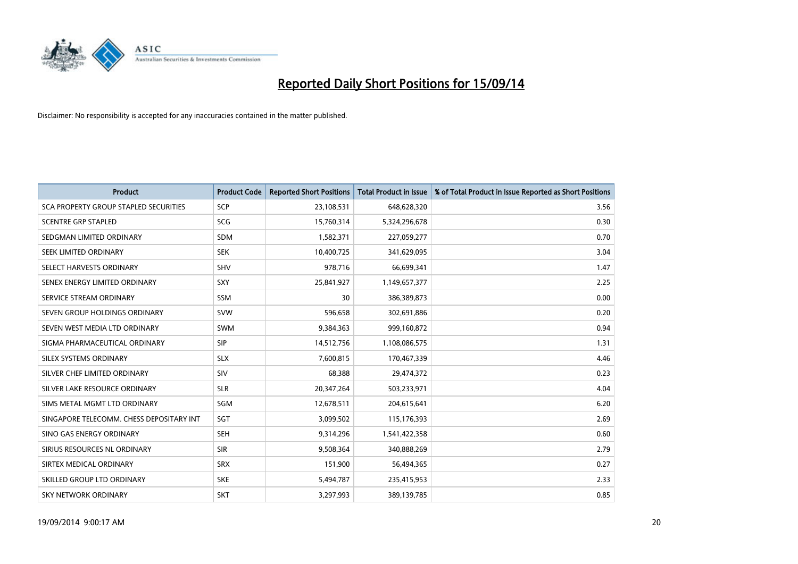

| <b>Product</b>                           | <b>Product Code</b> | <b>Reported Short Positions</b> | <b>Total Product in Issue</b> | % of Total Product in Issue Reported as Short Positions |
|------------------------------------------|---------------------|---------------------------------|-------------------------------|---------------------------------------------------------|
| SCA PROPERTY GROUP STAPLED SECURITIES    | <b>SCP</b>          | 23,108,531                      | 648,628,320                   | 3.56                                                    |
| <b>SCENTRE GRP STAPLED</b>               | <b>SCG</b>          | 15,760,314                      | 5,324,296,678                 | 0.30                                                    |
| SEDGMAN LIMITED ORDINARY                 | <b>SDM</b>          | 1,582,371                       | 227,059,277                   | 0.70                                                    |
| SEEK LIMITED ORDINARY                    | <b>SEK</b>          | 10,400,725                      | 341,629,095                   | 3.04                                                    |
| SELECT HARVESTS ORDINARY                 | <b>SHV</b>          | 978,716                         | 66,699,341                    | 1.47                                                    |
| SENEX ENERGY LIMITED ORDINARY            | SXY                 | 25,841,927                      | 1,149,657,377                 | 2.25                                                    |
| SERVICE STREAM ORDINARY                  | <b>SSM</b>          | 30                              | 386,389,873                   | 0.00                                                    |
| SEVEN GROUP HOLDINGS ORDINARY            | <b>SVW</b>          | 596,658                         | 302,691,886                   | 0.20                                                    |
| SEVEN WEST MEDIA LTD ORDINARY            | <b>SWM</b>          | 9,384,363                       | 999,160,872                   | 0.94                                                    |
| SIGMA PHARMACEUTICAL ORDINARY            | <b>SIP</b>          | 14,512,756                      | 1,108,086,575                 | 1.31                                                    |
| SILEX SYSTEMS ORDINARY                   | <b>SLX</b>          | 7,600,815                       | 170,467,339                   | 4.46                                                    |
| SILVER CHEF LIMITED ORDINARY             | SIV                 | 68,388                          | 29,474,372                    | 0.23                                                    |
| SILVER LAKE RESOURCE ORDINARY            | <b>SLR</b>          | 20,347,264                      | 503,233,971                   | 4.04                                                    |
| SIMS METAL MGMT LTD ORDINARY             | SGM                 | 12,678,511                      | 204,615,641                   | 6.20                                                    |
| SINGAPORE TELECOMM. CHESS DEPOSITARY INT | SGT                 | 3,099,502                       | 115,176,393                   | 2.69                                                    |
| SINO GAS ENERGY ORDINARY                 | SEH                 | 9,314,296                       | 1,541,422,358                 | 0.60                                                    |
| SIRIUS RESOURCES NL ORDINARY             | <b>SIR</b>          | 9,508,364                       | 340,888,269                   | 2.79                                                    |
| SIRTEX MEDICAL ORDINARY                  | <b>SRX</b>          | 151,900                         | 56,494,365                    | 0.27                                                    |
| SKILLED GROUP LTD ORDINARY               | <b>SKE</b>          | 5,494,787                       | 235,415,953                   | 2.33                                                    |
| <b>SKY NETWORK ORDINARY</b>              | <b>SKT</b>          | 3,297,993                       | 389,139,785                   | 0.85                                                    |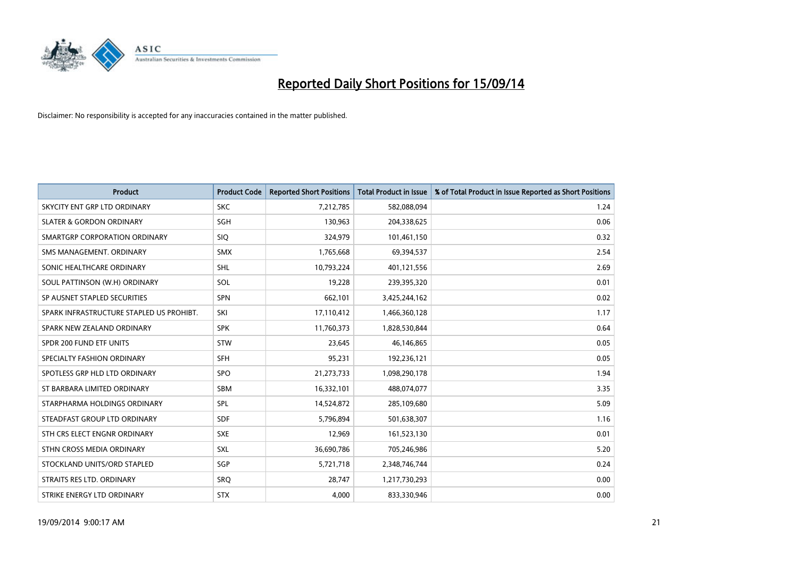

| <b>Product</b>                           | <b>Product Code</b> | <b>Reported Short Positions</b> | <b>Total Product in Issue</b> | % of Total Product in Issue Reported as Short Positions |
|------------------------------------------|---------------------|---------------------------------|-------------------------------|---------------------------------------------------------|
| SKYCITY ENT GRP LTD ORDINARY             | <b>SKC</b>          | 7,212,785                       | 582,088,094                   | 1.24                                                    |
| <b>SLATER &amp; GORDON ORDINARY</b>      | SGH                 | 130,963                         | 204,338,625                   | 0.06                                                    |
| SMARTGRP CORPORATION ORDINARY            | <b>SIQ</b>          | 324,979                         | 101,461,150                   | 0.32                                                    |
| SMS MANAGEMENT, ORDINARY                 | <b>SMX</b>          | 1,765,668                       | 69,394,537                    | 2.54                                                    |
| SONIC HEALTHCARE ORDINARY                | SHL                 | 10,793,224                      | 401,121,556                   | 2.69                                                    |
| SOUL PATTINSON (W.H) ORDINARY            | SOL                 | 19,228                          | 239,395,320                   | 0.01                                                    |
| SP AUSNET STAPLED SECURITIES             | <b>SPN</b>          | 662,101                         | 3,425,244,162                 | 0.02                                                    |
| SPARK INFRASTRUCTURE STAPLED US PROHIBT. | SKI                 | 17,110,412                      | 1,466,360,128                 | 1.17                                                    |
| SPARK NEW ZEALAND ORDINARY               | <b>SPK</b>          | 11,760,373                      | 1,828,530,844                 | 0.64                                                    |
| SPDR 200 FUND ETF UNITS                  | <b>STW</b>          | 23,645                          | 46,146,865                    | 0.05                                                    |
| SPECIALTY FASHION ORDINARY               | <b>SFH</b>          | 95,231                          | 192,236,121                   | 0.05                                                    |
| SPOTLESS GRP HLD LTD ORDINARY            | <b>SPO</b>          | 21,273,733                      | 1,098,290,178                 | 1.94                                                    |
| ST BARBARA LIMITED ORDINARY              | <b>SBM</b>          | 16,332,101                      | 488,074,077                   | 3.35                                                    |
| STARPHARMA HOLDINGS ORDINARY             | SPL                 | 14,524,872                      | 285,109,680                   | 5.09                                                    |
| STEADFAST GROUP LTD ORDINARY             | <b>SDF</b>          | 5,796,894                       | 501,638,307                   | 1.16                                                    |
| STH CRS ELECT ENGNR ORDINARY             | <b>SXE</b>          | 12,969                          | 161,523,130                   | 0.01                                                    |
| STHN CROSS MEDIA ORDINARY                | SXL                 | 36,690,786                      | 705,246,986                   | 5.20                                                    |
| STOCKLAND UNITS/ORD STAPLED              | SGP                 | 5,721,718                       | 2,348,746,744                 | 0.24                                                    |
| STRAITS RES LTD. ORDINARY                | SRO                 | 28,747                          | 1,217,730,293                 | 0.00                                                    |
| STRIKE ENERGY LTD ORDINARY               | <b>STX</b>          | 4,000                           | 833,330,946                   | 0.00                                                    |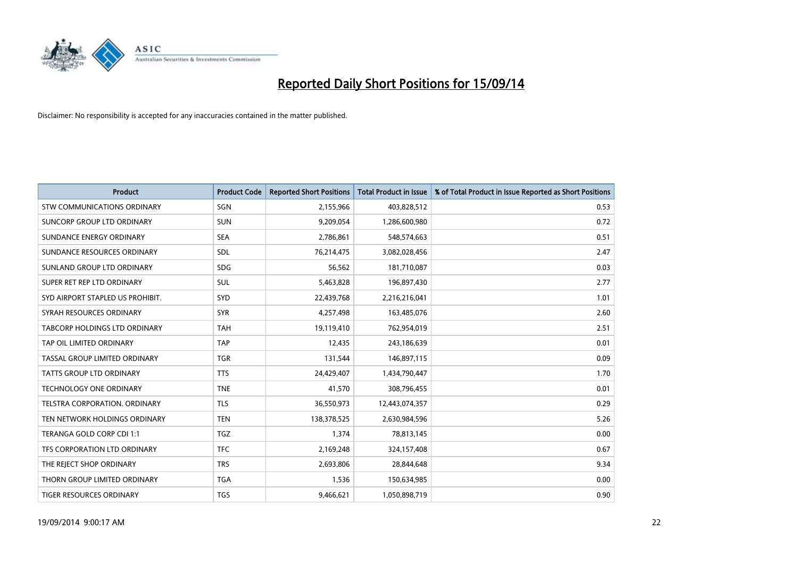

| <b>Product</b>                     | <b>Product Code</b> | <b>Reported Short Positions</b> | <b>Total Product in Issue</b> | % of Total Product in Issue Reported as Short Positions |
|------------------------------------|---------------------|---------------------------------|-------------------------------|---------------------------------------------------------|
| <b>STW COMMUNICATIONS ORDINARY</b> | SGN                 | 2,155,966                       | 403,828,512                   | 0.53                                                    |
| SUNCORP GROUP LTD ORDINARY         | <b>SUN</b>          | 9,209,054                       | 1,286,600,980                 | 0.72                                                    |
| SUNDANCE ENERGY ORDINARY           | <b>SEA</b>          | 2,786,861                       | 548,574,663                   | 0.51                                                    |
| SUNDANCE RESOURCES ORDINARY        | <b>SDL</b>          | 76,214,475                      | 3,082,028,456                 | 2.47                                                    |
| SUNLAND GROUP LTD ORDINARY         | <b>SDG</b>          | 56,562                          | 181,710,087                   | 0.03                                                    |
| SUPER RET REP LTD ORDINARY         | <b>SUL</b>          | 5,463,828                       | 196,897,430                   | 2.77                                                    |
| SYD AIRPORT STAPLED US PROHIBIT.   | <b>SYD</b>          | 22,439,768                      | 2,216,216,041                 | 1.01                                                    |
| SYRAH RESOURCES ORDINARY           | <b>SYR</b>          | 4,257,498                       | 163,485,076                   | 2.60                                                    |
| TABCORP HOLDINGS LTD ORDINARY      | <b>TAH</b>          | 19,119,410                      | 762,954,019                   | 2.51                                                    |
| TAP OIL LIMITED ORDINARY           | <b>TAP</b>          | 12,435                          | 243,186,639                   | 0.01                                                    |
| TASSAL GROUP LIMITED ORDINARY      | <b>TGR</b>          | 131,544                         | 146,897,115                   | 0.09                                                    |
| <b>TATTS GROUP LTD ORDINARY</b>    | <b>TTS</b>          | 24,429,407                      | 1,434,790,447                 | 1.70                                                    |
| TECHNOLOGY ONE ORDINARY            | <b>TNE</b>          | 41,570                          | 308,796,455                   | 0.01                                                    |
| TELSTRA CORPORATION, ORDINARY      | <b>TLS</b>          | 36,550,973                      | 12,443,074,357                | 0.29                                                    |
| TEN NETWORK HOLDINGS ORDINARY      | <b>TEN</b>          | 138,378,525                     | 2,630,984,596                 | 5.26                                                    |
| TERANGA GOLD CORP CDI 1:1          | <b>TGZ</b>          | 1,374                           | 78,813,145                    | 0.00                                                    |
| TFS CORPORATION LTD ORDINARY       | <b>TFC</b>          | 2,169,248                       | 324,157,408                   | 0.67                                                    |
| THE REJECT SHOP ORDINARY           | <b>TRS</b>          | 2,693,806                       | 28,844,648                    | 9.34                                                    |
| THORN GROUP LIMITED ORDINARY       | <b>TGA</b>          | 1,536                           | 150,634,985                   | 0.00                                                    |
| TIGER RESOURCES ORDINARY           | <b>TGS</b>          | 9,466,621                       | 1,050,898,719                 | 0.90                                                    |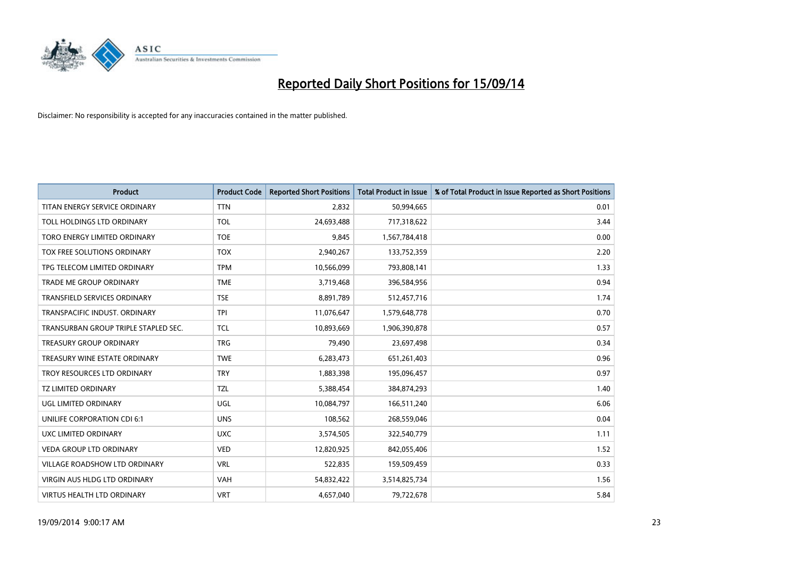

| <b>Product</b>                       | <b>Product Code</b> | <b>Reported Short Positions</b> | <b>Total Product in Issue</b> | % of Total Product in Issue Reported as Short Positions |
|--------------------------------------|---------------------|---------------------------------|-------------------------------|---------------------------------------------------------|
| TITAN ENERGY SERVICE ORDINARY        | <b>TTN</b>          | 2,832                           | 50,994,665                    | 0.01                                                    |
| TOLL HOLDINGS LTD ORDINARY           | <b>TOL</b>          | 24,693,488                      | 717,318,622                   | 3.44                                                    |
| TORO ENERGY LIMITED ORDINARY         | <b>TOE</b>          | 9,845                           | 1,567,784,418                 | 0.00                                                    |
| TOX FREE SOLUTIONS ORDINARY          | <b>TOX</b>          | 2,940,267                       | 133,752,359                   | 2.20                                                    |
| TPG TELECOM LIMITED ORDINARY         | <b>TPM</b>          | 10,566,099                      | 793,808,141                   | 1.33                                                    |
| <b>TRADE ME GROUP ORDINARY</b>       | <b>TME</b>          | 3,719,468                       | 396,584,956                   | 0.94                                                    |
| TRANSFIELD SERVICES ORDINARY         | <b>TSE</b>          | 8,891,789                       | 512,457,716                   | 1.74                                                    |
| TRANSPACIFIC INDUST. ORDINARY        | <b>TPI</b>          | 11,076,647                      | 1,579,648,778                 | 0.70                                                    |
| TRANSURBAN GROUP TRIPLE STAPLED SEC. | <b>TCL</b>          | 10,893,669                      | 1,906,390,878                 | 0.57                                                    |
| <b>TREASURY GROUP ORDINARY</b>       | <b>TRG</b>          | 79,490                          | 23,697,498                    | 0.34                                                    |
| TREASURY WINE ESTATE ORDINARY        | <b>TWE</b>          | 6,283,473                       | 651,261,403                   | 0.96                                                    |
| TROY RESOURCES LTD ORDINARY          | <b>TRY</b>          | 1,883,398                       | 195,096,457                   | 0.97                                                    |
| TZ LIMITED ORDINARY                  | <b>TZL</b>          | 5,388,454                       | 384,874,293                   | 1.40                                                    |
| UGL LIMITED ORDINARY                 | UGL                 | 10,084,797                      | 166,511,240                   | 6.06                                                    |
| UNILIFE CORPORATION CDI 6:1          | <b>UNS</b>          | 108,562                         | 268,559,046                   | 0.04                                                    |
| UXC LIMITED ORDINARY                 | <b>UXC</b>          | 3,574,505                       | 322,540,779                   | 1.11                                                    |
| <b>VEDA GROUP LTD ORDINARY</b>       | <b>VED</b>          | 12,820,925                      | 842,055,406                   | 1.52                                                    |
| <b>VILLAGE ROADSHOW LTD ORDINARY</b> | <b>VRL</b>          | 522,835                         | 159,509,459                   | 0.33                                                    |
| VIRGIN AUS HLDG LTD ORDINARY         | <b>VAH</b>          | 54,832,422                      | 3,514,825,734                 | 1.56                                                    |
| <b>VIRTUS HEALTH LTD ORDINARY</b>    | <b>VRT</b>          | 4,657,040                       | 79,722,678                    | 5.84                                                    |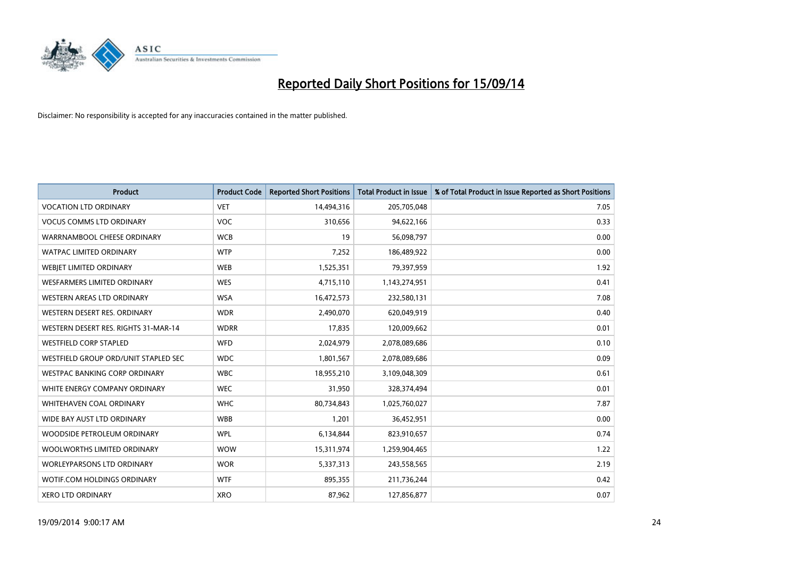

| <b>Product</b>                       | <b>Product Code</b> | <b>Reported Short Positions</b> | <b>Total Product in Issue</b> | % of Total Product in Issue Reported as Short Positions |
|--------------------------------------|---------------------|---------------------------------|-------------------------------|---------------------------------------------------------|
| <b>VOCATION LTD ORDINARY</b>         | <b>VET</b>          | 14,494,316                      | 205,705,048                   | 7.05                                                    |
| <b>VOCUS COMMS LTD ORDINARY</b>      | VOC                 | 310,656                         | 94,622,166                    | 0.33                                                    |
| WARRNAMBOOL CHEESE ORDINARY          | <b>WCB</b>          | 19                              | 56,098,797                    | 0.00                                                    |
| <b>WATPAC LIMITED ORDINARY</b>       | <b>WTP</b>          | 7,252                           | 186,489,922                   | 0.00                                                    |
| WEBIET LIMITED ORDINARY              | <b>WEB</b>          | 1,525,351                       | 79,397,959                    | 1.92                                                    |
| <b>WESFARMERS LIMITED ORDINARY</b>   | <b>WES</b>          | 4,715,110                       | 1,143,274,951                 | 0.41                                                    |
| WESTERN AREAS LTD ORDINARY           | <b>WSA</b>          | 16,472,573                      | 232,580,131                   | 7.08                                                    |
| WESTERN DESERT RES. ORDINARY         | <b>WDR</b>          | 2,490,070                       | 620,049,919                   | 0.40                                                    |
| WESTERN DESERT RES. RIGHTS 31-MAR-14 | <b>WDRR</b>         | 17,835                          | 120,009,662                   | 0.01                                                    |
| <b>WESTFIELD CORP STAPLED</b>        | <b>WFD</b>          | 2,024,979                       | 2,078,089,686                 | 0.10                                                    |
| WESTFIELD GROUP ORD/UNIT STAPLED SEC | <b>WDC</b>          | 1,801,567                       | 2,078,089,686                 | 0.09                                                    |
| <b>WESTPAC BANKING CORP ORDINARY</b> | <b>WBC</b>          | 18,955,210                      | 3,109,048,309                 | 0.61                                                    |
| WHITE ENERGY COMPANY ORDINARY        | <b>WEC</b>          | 31,950                          | 328,374,494                   | 0.01                                                    |
| WHITEHAVEN COAL ORDINARY             | <b>WHC</b>          | 80,734,843                      | 1,025,760,027                 | 7.87                                                    |
| WIDE BAY AUST LTD ORDINARY           | <b>WBB</b>          | 1,201                           | 36,452,951                    | 0.00                                                    |
| WOODSIDE PETROLEUM ORDINARY          | <b>WPL</b>          | 6,134,844                       | 823,910,657                   | 0.74                                                    |
| WOOLWORTHS LIMITED ORDINARY          | <b>WOW</b>          | 15,311,974                      | 1,259,904,465                 | 1.22                                                    |
| <b>WORLEYPARSONS LTD ORDINARY</b>    | <b>WOR</b>          | 5,337,313                       | 243,558,565                   | 2.19                                                    |
| WOTIF.COM HOLDINGS ORDINARY          | <b>WTF</b>          | 895,355                         | 211,736,244                   | 0.42                                                    |
| <b>XERO LTD ORDINARY</b>             | <b>XRO</b>          | 87,962                          | 127,856,877                   | 0.07                                                    |